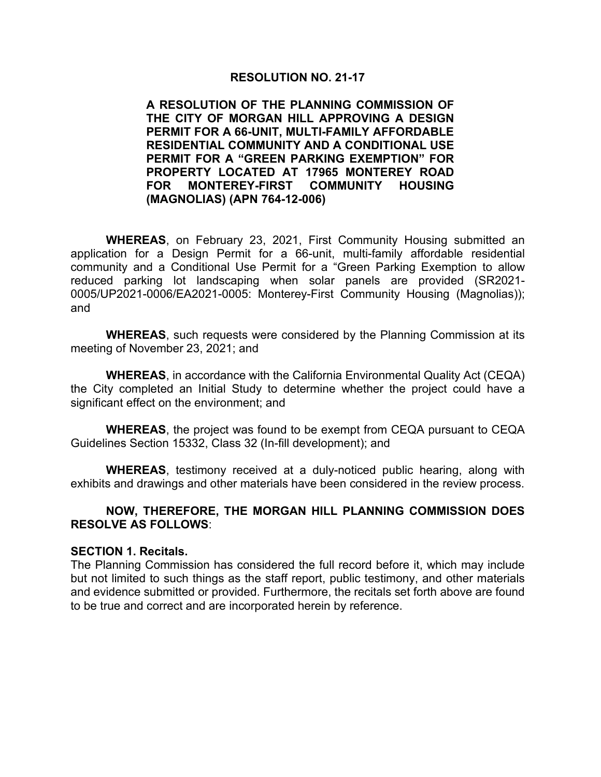#### **RESOLUTION NO. 21-17**

**A RESOLUTION OF THE PLANNING COMMISSION OF THE CITY OF MORGAN HILL APPROVING A DESIGN PERMIT FOR A 66-UNIT, MULTI-FAMILY AFFORDABLE RESIDENTIAL COMMUNITY AND A CONDITIONAL USE PERMIT FOR A "GREEN PARKING EXEMPTION" FOR PROPERTY LOCATED AT 17965 MONTEREY ROAD FOR MONTEREY-FIRST COMMUNITY HOUSING (MAGNOLIAS) (APN 764-12-006)**

**WHEREAS**, on February 23, 2021, First Community Housing submitted an application for a Design Permit for a 66-unit, multi-family affordable residential community and a Conditional Use Permit for a "Green Parking Exemption to allow reduced parking lot landscaping when solar panels are provided (SR2021- 0005/UP2021-0006/EA2021-0005: Monterey-First Community Housing (Magnolias)); and

**WHEREAS**, such requests were considered by the Planning Commission at its meeting of November 23, 2021; and

**WHEREAS**, in accordance with the California Environmental Quality Act (CEQA) the City completed an Initial Study to determine whether the project could have a significant effect on the environment; and

**WHEREAS**, the project was found to be exempt from CEQA pursuant to CEQA Guidelines Section 15332, Class 32 (In-fill development); and

**WHEREAS**, testimony received at a duly-noticed public hearing, along with exhibits and drawings and other materials have been considered in the review process.

#### **NOW, THEREFORE, THE MORGAN HILL PLANNING COMMISSION DOES RESOLVE AS FOLLOWS**:

#### **SECTION 1. Recitals.**

The Planning Commission has considered the full record before it, which may include but not limited to such things as the staff report, public testimony, and other materials and evidence submitted or provided. Furthermore, the recitals set forth above are found to be true and correct and are incorporated herein by reference.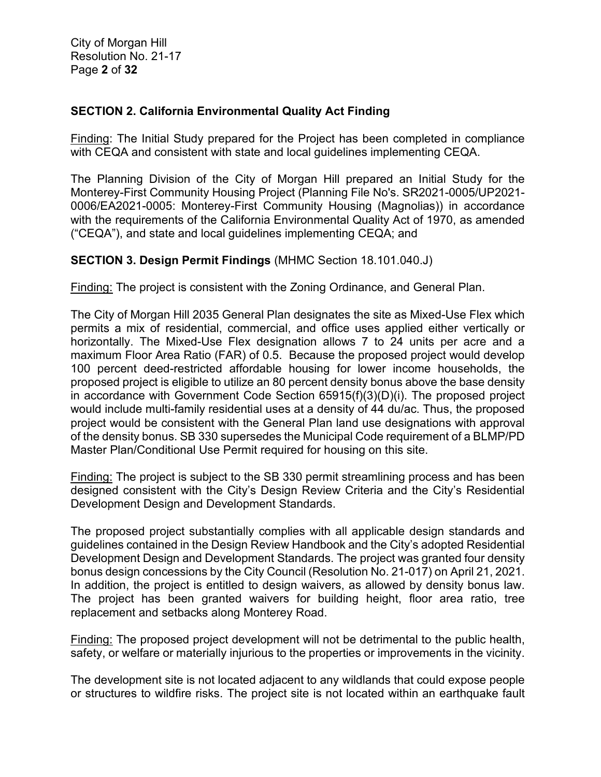# **SECTION 2. California Environmental Quality Act Finding**

Finding: The Initial Study prepared for the Project has been completed in compliance with CEQA and consistent with state and local guidelines implementing CEQA.

The Planning Division of the City of Morgan Hill prepared an Initial Study for the Monterey-First Community Housing Project (Planning File No's. SR2021-0005/UP2021- 0006/EA2021-0005: Monterey-First Community Housing (Magnolias)) in accordance with the requirements of the California Environmental Quality Act of 1970, as amended ("CEQA"), and state and local guidelines implementing CEQA; and

# **SECTION 3. Design Permit Findings** (MHMC Section 18.101.040.J)

Finding: The project is consistent with the Zoning Ordinance, and General Plan.

The City of Morgan Hill 2035 General Plan designates the site as Mixed-Use Flex which permits a mix of residential, commercial, and office uses applied either vertically or horizontally. The Mixed-Use Flex designation allows 7 to 24 units per acre and a maximum Floor Area Ratio (FAR) of 0.5. Because the proposed project would develop 100 percent deed-restricted affordable housing for lower income households, the proposed project is eligible to utilize an 80 percent density bonus above the base density in accordance with Government Code Section 65915(f)(3)(D)(i). The proposed project would include multi-family residential uses at a density of 44 du/ac. Thus, the proposed project would be consistent with the General Plan land use designations with approval of the density bonus. SB 330 supersedes the Municipal Code requirement of a BLMP/PD Master Plan/Conditional Use Permit required for housing on this site.

Finding: The project is subject to the SB 330 permit streamlining process and has been designed consistent with the City's Design Review Criteria and the City's Residential Development Design and Development Standards.

The proposed project substantially complies with all applicable design standards and guidelines contained in the Design Review Handbook and the City's adopted Residential Development Design and Development Standards. The project was granted four density bonus design concessions by the City Council (Resolution No. 21-017) on April 21, 2021. In addition, the project is entitled to design waivers, as allowed by density bonus law. The project has been granted waivers for building height, floor area ratio, tree replacement and setbacks along Monterey Road.

Finding: The proposed project development will not be detrimental to the public health, safety, or welfare or materially injurious to the properties or improvements in the vicinity.

The development site is not located adjacent to any wildlands that could expose people or structures to wildfire risks. The project site is not located within an earthquake fault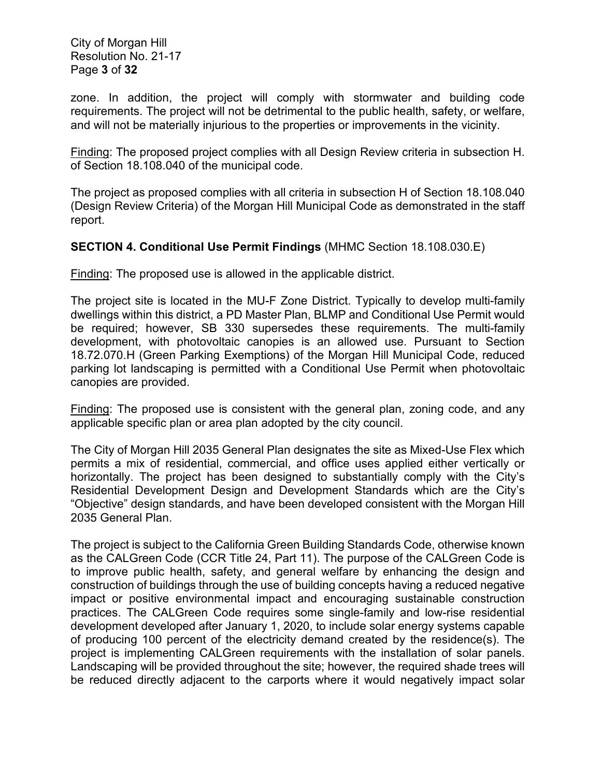City of Morgan Hill Resolution No. 21-17 Page **3** of **32**

zone. In addition, the project will comply with stormwater and building code requirements. The project will not be detrimental to the public health, safety, or welfare, and will not be materially injurious to the properties or improvements in the vicinity.

Finding: The proposed project complies with all Design Review criteria in subsection H. of Section 18.108.040 of the municipal code.

The project as proposed complies with all criteria in subsection H of Section 18.108.040 (Design Review Criteria) of the Morgan Hill Municipal Code as demonstrated in the staff report.

# **SECTION 4. Conditional Use Permit Findings** (MHMC Section 18.108.030.E)

Finding: The proposed use is allowed in the applicable district.

The project site is located in the MU-F Zone District. Typically to develop multi-family dwellings within this district, a PD Master Plan, BLMP and Conditional Use Permit would be required; however, SB 330 supersedes these requirements. The multi-family development, with photovoltaic canopies is an allowed use. Pursuant to Section 18.72.070.H (Green Parking Exemptions) of the Morgan Hill Municipal Code, reduced parking lot landscaping is permitted with a Conditional Use Permit when photovoltaic canopies are provided.

Finding: The proposed use is consistent with the general plan, zoning code, and any applicable specific plan or area plan adopted by the city council.

The City of Morgan Hill 2035 General Plan designates the site as Mixed-Use Flex which permits a mix of residential, commercial, and office uses applied either vertically or horizontally. The project has been designed to substantially comply with the City's Residential Development Design and Development Standards which are the City's "Objective" design standards, and have been developed consistent with the Morgan Hill 2035 General Plan.

The project is subject to the California Green Building Standards Code, otherwise known as the CALGreen Code (CCR Title 24, Part 11). The purpose of the CALGreen Code is to improve public health, safety, and general welfare by enhancing the design and construction of buildings through the use of building concepts having a reduced negative impact or positive environmental impact and encouraging sustainable construction practices. The CALGreen Code requires some single-family and low-rise residential development developed after January 1, 2020, to include solar energy systems capable of producing 100 percent of the electricity demand created by the residence(s). The project is implementing CALGreen requirements with the installation of solar panels. Landscaping will be provided throughout the site; however, the required shade trees will be reduced directly adjacent to the carports where it would negatively impact solar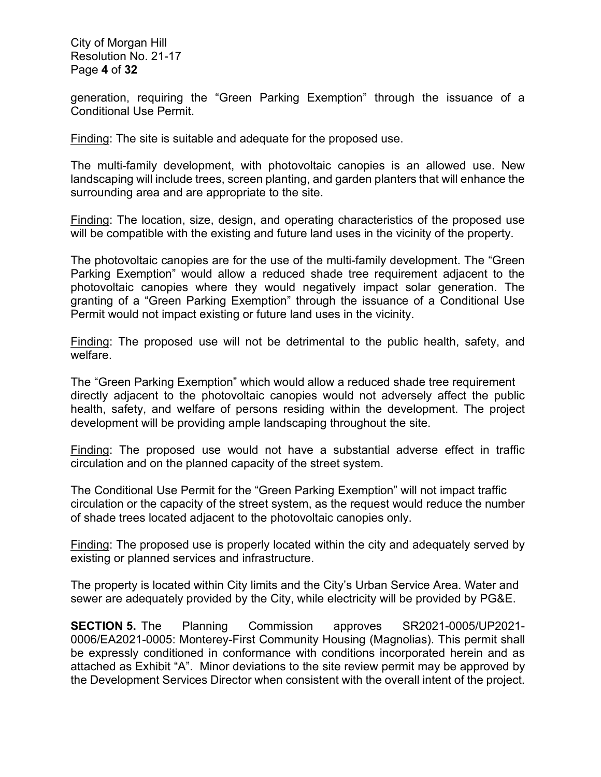City of Morgan Hill Resolution No. 21-17 Page **4** of **32**

generation, requiring the "Green Parking Exemption" through the issuance of a Conditional Use Permit.

Finding: The site is suitable and adequate for the proposed use.

The multi-family development, with photovoltaic canopies is an allowed use. New landscaping will include trees, screen planting, and garden planters that will enhance the surrounding area and are appropriate to the site.

Finding: The location, size, design, and operating characteristics of the proposed use will be compatible with the existing and future land uses in the vicinity of the property.

The photovoltaic canopies are for the use of the multi-family development. The "Green Parking Exemption" would allow a reduced shade tree requirement adjacent to the photovoltaic canopies where they would negatively impact solar generation. The granting of a "Green Parking Exemption" through the issuance of a Conditional Use Permit would not impact existing or future land uses in the vicinity.

Finding: The proposed use will not be detrimental to the public health, safety, and welfare.

The "Green Parking Exemption" which would allow a reduced shade tree requirement directly adjacent to the photovoltaic canopies would not adversely affect the public health, safety, and welfare of persons residing within the development. The project development will be providing ample landscaping throughout the site.

Finding: The proposed use would not have a substantial adverse effect in traffic circulation and on the planned capacity of the street system.

The Conditional Use Permit for the "Green Parking Exemption" will not impact traffic circulation or the capacity of the street system, as the request would reduce the number of shade trees located adjacent to the photovoltaic canopies only.

Finding: The proposed use is properly located within the city and adequately served by existing or planned services and infrastructure.

The property is located within City limits and the City's Urban Service Area. Water and sewer are adequately provided by the City, while electricity will be provided by PG&E.

**SECTION 5.** The Planning Commission approves SR2021-0005/UP2021- 0006/EA2021-0005: Monterey-First Community Housing (Magnolias). This permit shall be expressly conditioned in conformance with conditions incorporated herein and as attached as Exhibit "A". Minor deviations to the site review permit may be approved by the Development Services Director when consistent with the overall intent of the project.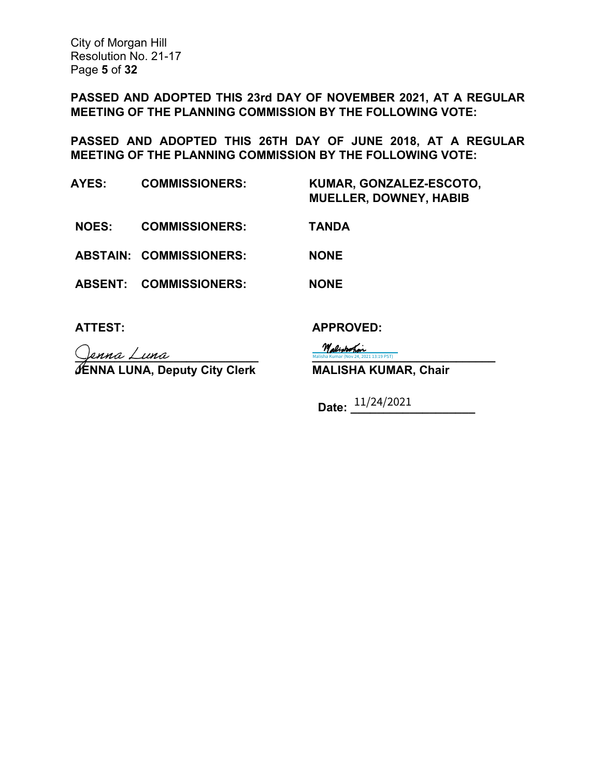City of Morgan Hill Resolution No. 21-17 Page **5** of **32**

**PASSED AND ADOPTED THIS 23rd DAY OF NOVEMBER 2021, AT A REGULAR MEETING OF THE PLANNING COMMISSION BY THE FOLLOWING VOTE:** 

**PASSED AND ADOPTED THIS 26TH DAY OF JUNE 2018, AT A REGULAR MEETING OF THE PLANNING COMMISSION BY THE FOLLOWING VOTE:** 

**AYES: COMMISSIONERS: KUMAR, GONZALEZ-ESCOTO, MUELLER, DOWNEY, HABIB NOES: COMMISSIONERS: TANDA ABSTAIN: COMMISSIONERS: NONE ABSENT: COMMISSIONERS: NONE**

 $\sqrt{2 \text{maalisha Kumar (Nov 24, 2021 13:19 PST)}}$ **JENNA LUNA, Deputy City Clerk MALISHA KUMAR, Chair**

**ATTEST: APPROVED:** 

**Malisha Kumar (Nov 24, 2021 13:19 PST)** 

**Date: \_\_\_\_\_\_\_\_\_\_\_\_\_\_\_\_\_\_\_** 11/24/2021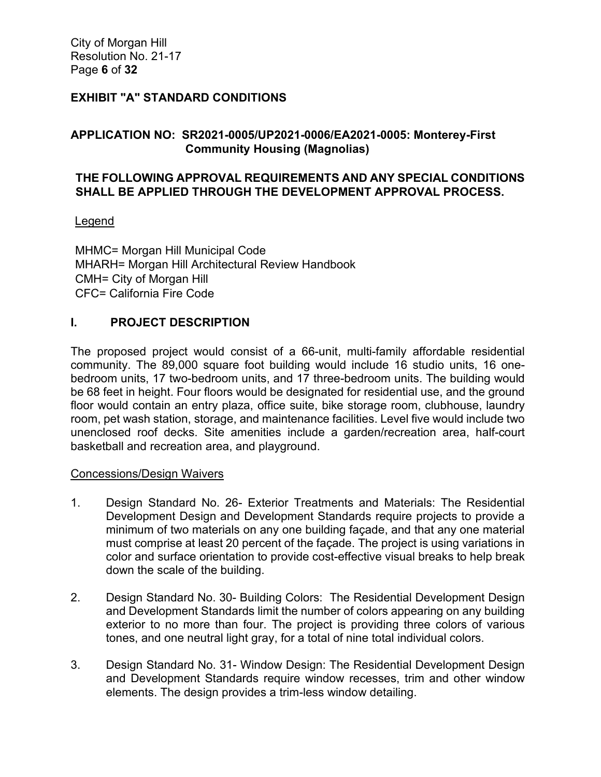City of Morgan Hill Resolution No. 21-17 Page **6** of **32**

# **EXHIBIT "A" STANDARD CONDITIONS**

# **APPLICATION NO: SR2021-0005/UP2021-0006/EA2021-0005: Monterey-First Community Housing (Magnolias)**

#### **THE FOLLOWING APPROVAL REQUIREMENTS AND ANY SPECIAL CONDITIONS SHALL BE APPLIED THROUGH THE DEVELOPMENT APPROVAL PROCESS.**

#### **Legend**

MHMC= Morgan Hill Municipal Code MHARH= Morgan Hill Architectural Review Handbook CMH= City of Morgan Hill CFC= California Fire Code

#### **I. PROJECT DESCRIPTION**

The proposed project would consist of a 66-unit, multi-family affordable residential community. The 89,000 square foot building would include 16 studio units, 16 onebedroom units, 17 two-bedroom units, and 17 three-bedroom units. The building would be 68 feet in height. Four floors would be designated for residential use, and the ground floor would contain an entry plaza, office suite, bike storage room, clubhouse, laundry room, pet wash station, storage, and maintenance facilities. Level five would include two unenclosed roof decks. Site amenities include a garden/recreation area, half-court basketball and recreation area, and playground.

#### Concessions/Design Waivers

- 1. Design Standard No. 26- Exterior Treatments and Materials: The Residential Development Design and Development Standards require projects to provide a minimum of two materials on any one building façade, and that any one material must comprise at least 20 percent of the façade. The project is using variations in color and surface orientation to provide cost-effective visual breaks to help break down the scale of the building.
- 2. Design Standard No. 30- Building Colors: The Residential Development Design and Development Standards limit the number of colors appearing on any building exterior to no more than four. The project is providing three colors of various tones, and one neutral light gray, for a total of nine total individual colors.
- 3. Design Standard No. 31- Window Design: The Residential Development Design and Development Standards require window recesses, trim and other window elements. The design provides a trim-less window detailing.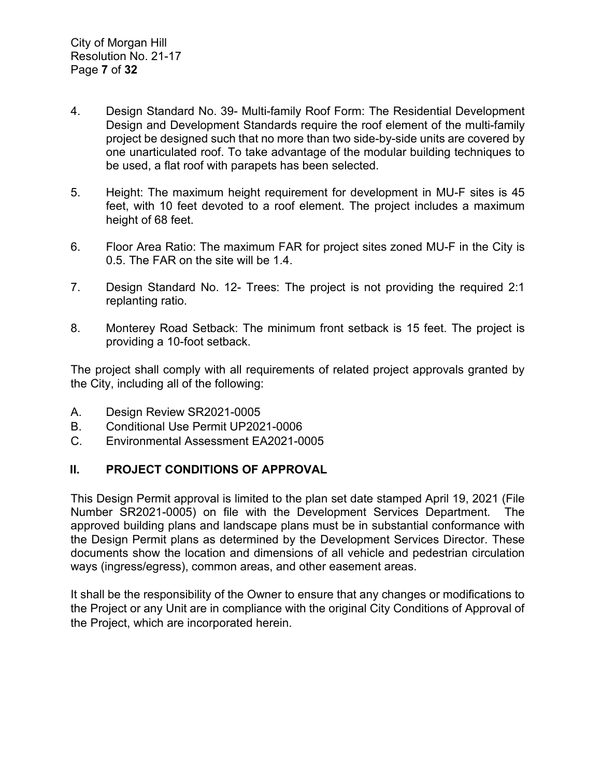- 4. Design Standard No. 39- Multi-family Roof Form: The Residential Development Design and Development Standards require the roof element of the multi-family project be designed such that no more than two side-by-side units are covered by one unarticulated roof. To take advantage of the modular building techniques to be used, a flat roof with parapets has been selected.
- 5. Height: The maximum height requirement for development in MU-F sites is 45 feet, with 10 feet devoted to a roof element. The project includes a maximum height of 68 feet.
- 6. Floor Area Ratio: The maximum FAR for project sites zoned MU-F in the City is 0.5. The FAR on the site will be 1.4.
- 7. Design Standard No. 12- Trees: The project is not providing the required 2:1 replanting ratio.
- 8. Monterey Road Setback: The minimum front setback is 15 feet. The project is providing a 10-foot setback.

The project shall comply with all requirements of related project approvals granted by the City, including all of the following:

- A. Design Review SR2021-0005
- B. Conditional Use Permit UP2021-0006
- C. Environmental Assessment EA2021-0005

# **II. PROJECT CONDITIONS OF APPROVAL**

This Design Permit approval is limited to the plan set date stamped April 19, 2021 (File Number SR2021-0005) on file with the Development Services Department. The approved building plans and landscape plans must be in substantial conformance with the Design Permit plans as determined by the Development Services Director. These documents show the location and dimensions of all vehicle and pedestrian circulation ways (ingress/egress), common areas, and other easement areas.

It shall be the responsibility of the Owner to ensure that any changes or modifications to the Project or any Unit are in compliance with the original City Conditions of Approval of the Project, which are incorporated herein.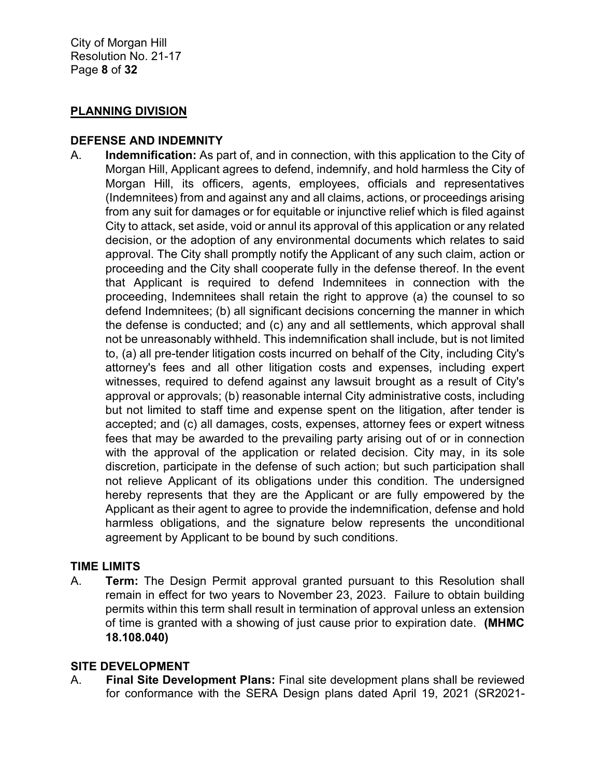#### **PLANNING DIVISION**

#### **DEFENSE AND INDEMNITY**

A. **Indemnification:** As part of, and in connection, with this application to the City of Morgan Hill, Applicant agrees to defend, indemnify, and hold harmless the City of Morgan Hill, its officers, agents, employees, officials and representatives (Indemnitees) from and against any and all claims, actions, or proceedings arising from any suit for damages or for equitable or injunctive relief which is filed against City to attack, set aside, void or annul its approval of this application or any related decision, or the adoption of any environmental documents which relates to said approval. The City shall promptly notify the Applicant of any such claim, action or proceeding and the City shall cooperate fully in the defense thereof. In the event that Applicant is required to defend Indemnitees in connection with the proceeding, Indemnitees shall retain the right to approve (a) the counsel to so defend Indemnitees; (b) all significant decisions concerning the manner in which the defense is conducted; and (c) any and all settlements, which approval shall not be unreasonably withheld. This indemnification shall include, but is not limited to, (a) all pre-tender litigation costs incurred on behalf of the City, including City's attorney's fees and all other litigation costs and expenses, including expert witnesses, required to defend against any lawsuit brought as a result of City's approval or approvals; (b) reasonable internal City administrative costs, including but not limited to staff time and expense spent on the litigation, after tender is accepted; and (c) all damages, costs, expenses, attorney fees or expert witness fees that may be awarded to the prevailing party arising out of or in connection with the approval of the application or related decision. City may, in its sole discretion, participate in the defense of such action; but such participation shall not relieve Applicant of its obligations under this condition. The undersigned hereby represents that they are the Applicant or are fully empowered by the Applicant as their agent to agree to provide the indemnification, defense and hold harmless obligations, and the signature below represents the unconditional agreement by Applicant to be bound by such conditions.

# **TIME LIMITS**

A. **Term:** The Design Permit approval granted pursuant to this Resolution shall remain in effect for two years to November 23, 2023. Failure to obtain building permits within this term shall result in termination of approval unless an extension of time is granted with a showing of just cause prior to expiration date. **(MHMC 18.108.040)** 

#### **SITE DEVELOPMENT**

A. **Final Site Development Plans:** Final site development plans shall be reviewed for conformance with the SERA Design plans dated April 19, 2021 (SR2021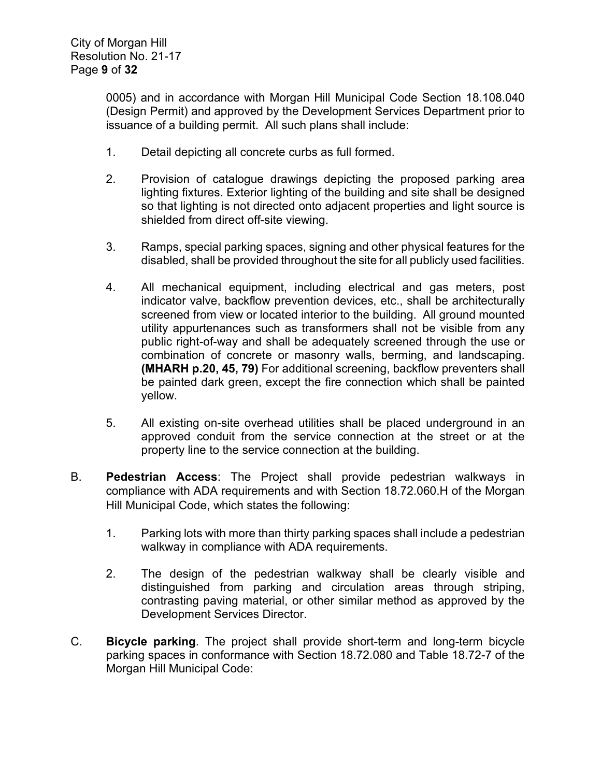0005) and in accordance with Morgan Hill Municipal Code Section 18.108.040 (Design Permit) and approved by the Development Services Department prior to issuance of a building permit. All such plans shall include:

- 1. Detail depicting all concrete curbs as full formed.
- 2. Provision of catalogue drawings depicting the proposed parking area lighting fixtures. Exterior lighting of the building and site shall be designed so that lighting is not directed onto adjacent properties and light source is shielded from direct off-site viewing.
- 3. Ramps, special parking spaces, signing and other physical features for the disabled, shall be provided throughout the site for all publicly used facilities.
- 4. All mechanical equipment, including electrical and gas meters, post indicator valve, backflow prevention devices, etc., shall be architecturally screened from view or located interior to the building. All ground mounted utility appurtenances such as transformers shall not be visible from any public right-of-way and shall be adequately screened through the use or combination of concrete or masonry walls, berming, and landscaping. **(MHARH p.20, 45, 79)** For additional screening, backflow preventers shall be painted dark green, except the fire connection which shall be painted yellow.
- 5. All existing on-site overhead utilities shall be placed underground in an approved conduit from the service connection at the street or at the property line to the service connection at the building.
- B. **Pedestrian Access**: The Project shall provide pedestrian walkways in compliance with ADA requirements and with Section 18.72.060.H of the Morgan Hill Municipal Code, which states the following:
	- 1. Parking lots with more than thirty parking spaces shall include a pedestrian walkway in compliance with ADA requirements.
	- 2. The design of the pedestrian walkway shall be clearly visible and distinguished from parking and circulation areas through striping, contrasting paving material, or other similar method as approved by the Development Services Director.
- C. **Bicycle parking**. The project shall provide short-term and long-term bicycle parking spaces in conformance with Section 18.72.080 and Table 18.72-7 of the Morgan Hill Municipal Code: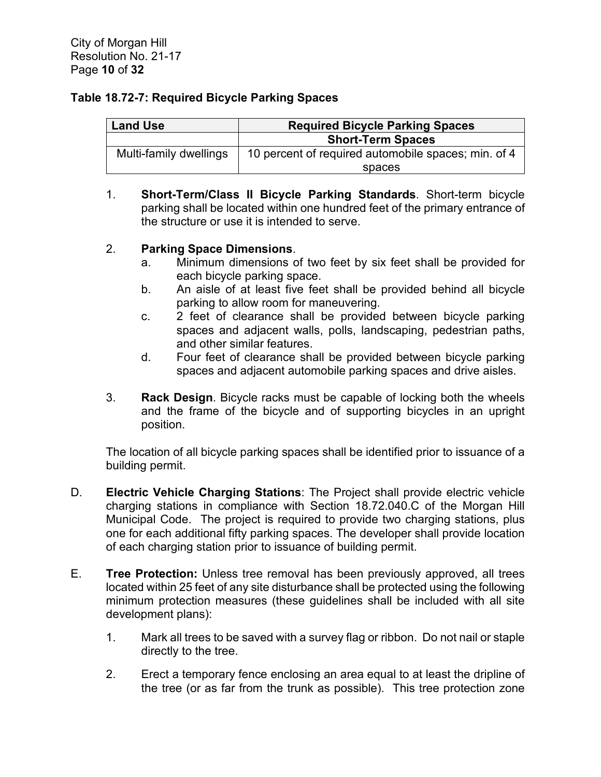#### **Table 18.72-7: Required Bicycle Parking Spaces**

| <b>Land Use</b>        | <b>Required Bicycle Parking Spaces</b>              |
|------------------------|-----------------------------------------------------|
|                        | <b>Short-Term Spaces</b>                            |
| Multi-family dwellings | 10 percent of required automobile spaces; min. of 4 |
|                        | spaces                                              |

1. **Short-Term/Class II Bicycle Parking Standards**. Short-term bicycle parking shall be located within one hundred feet of the primary entrance of the structure or use it is intended to serve.

# 2. **Parking Space Dimensions**.

- a. Minimum dimensions of two feet by six feet shall be provided for each bicycle parking space.
- b. An aisle of at least five feet shall be provided behind all bicycle parking to allow room for maneuvering.
- c. 2 feet of clearance shall be provided between bicycle parking spaces and adjacent walls, polls, landscaping, pedestrian paths, and other similar features.
- d. Four feet of clearance shall be provided between bicycle parking spaces and adjacent automobile parking spaces and drive aisles.
- 3. **Rack Design**. Bicycle racks must be capable of locking both the wheels and the frame of the bicycle and of supporting bicycles in an upright position.

The location of all bicycle parking spaces shall be identified prior to issuance of a building permit.

- D. **Electric Vehicle Charging Stations**: The Project shall provide electric vehicle charging stations in compliance with Section 18.72.040.C of the Morgan Hill Municipal Code. The project is required to provide two charging stations, plus one for each additional fifty parking spaces. The developer shall provide location of each charging station prior to issuance of building permit.
- E. **Tree Protection:** Unless tree removal has been previously approved, all trees located within 25 feet of any site disturbance shall be protected using the following minimum protection measures (these guidelines shall be included with all site development plans):
	- 1. Mark all trees to be saved with a survey flag or ribbon. Do not nail or staple directly to the tree.
	- 2. Erect a temporary fence enclosing an area equal to at least the dripline of the tree (or as far from the trunk as possible). This tree protection zone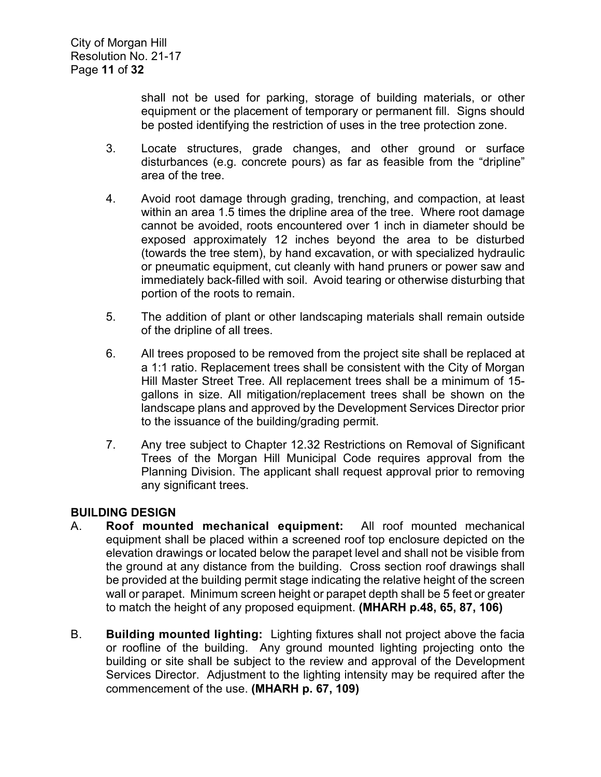shall not be used for parking, storage of building materials, or other equipment or the placement of temporary or permanent fill. Signs should be posted identifying the restriction of uses in the tree protection zone.

- 3. Locate structures, grade changes, and other ground or surface disturbances (e.g. concrete pours) as far as feasible from the "dripline" area of the tree.
- 4. Avoid root damage through grading, trenching, and compaction, at least within an area 1.5 times the dripline area of the tree. Where root damage cannot be avoided, roots encountered over 1 inch in diameter should be exposed approximately 12 inches beyond the area to be disturbed (towards the tree stem), by hand excavation, or with specialized hydraulic or pneumatic equipment, cut cleanly with hand pruners or power saw and immediately back-filled with soil. Avoid tearing or otherwise disturbing that portion of the roots to remain.
- 5. The addition of plant or other landscaping materials shall remain outside of the dripline of all trees.
- 6. All trees proposed to be removed from the project site shall be replaced at a 1:1 ratio. Replacement trees shall be consistent with the City of Morgan Hill Master Street Tree. All replacement trees shall be a minimum of 15 gallons in size. All mitigation/replacement trees shall be shown on the landscape plans and approved by the Development Services Director prior to the issuance of the building/grading permit.
- 7. Any tree subject to Chapter 12.32 Restrictions on Removal of Significant Trees of the Morgan Hill Municipal Code requires approval from the Planning Division. The applicant shall request approval prior to removing any significant trees.

# **BUILDING DESIGN**

- A. **Roof mounted mechanical equipment:** All roof mounted mechanical equipment shall be placed within a screened roof top enclosure depicted on the elevation drawings or located below the parapet level and shall not be visible from the ground at any distance from the building. Cross section roof drawings shall be provided at the building permit stage indicating the relative height of the screen wall or parapet. Minimum screen height or parapet depth shall be 5 feet or greater to match the height of any proposed equipment. **(MHARH p.48, 65, 87, 106)**
- B. **Building mounted lighting:** Lighting fixtures shall not project above the facia or roofline of the building. Any ground mounted lighting projecting onto the building or site shall be subject to the review and approval of the Development Services Director. Adjustment to the lighting intensity may be required after the commencement of the use. **(MHARH p. 67, 109)**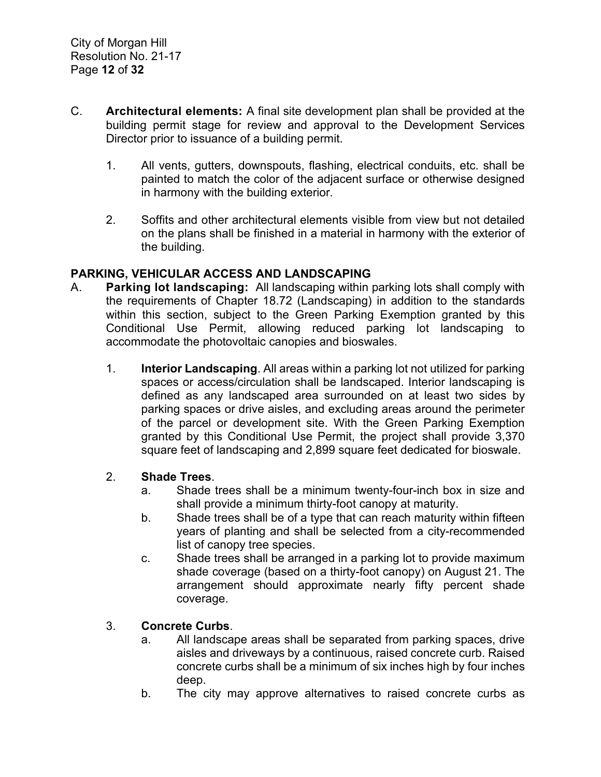- C. **Architectural elements:** A final site development plan shall be provided at the building permit stage for review and approval to the Development Services Director prior to issuance of a building permit.
	- 1. All vents, gutters, downspouts, flashing, electrical conduits, etc. shall be painted to match the color of the adjacent surface or otherwise designed in harmony with the building exterior.
	- 2. Soffits and other architectural elements visible from view but not detailed on the plans shall be finished in a material in harmony with the exterior of the building.

# **PARKING, VEHICULAR ACCESS AND LANDSCAPING**

- A. **Parking lot landscaping:** All landscaping within parking lots shall comply with the requirements of Chapter 18.72 (Landscaping) in addition to the standards within this section, subject to the Green Parking Exemption granted by this Conditional Use Permit, allowing reduced parking lot landscaping to accommodate the photovoltaic canopies and bioswales.
	- 1. **Interior Landscaping**. All areas within a parking lot not utilized for parking spaces or access/circulation shall be landscaped. Interior landscaping is defined as any landscaped area surrounded on at least two sides by parking spaces or drive aisles, and excluding areas around the perimeter of the parcel or development site. With the Green Parking Exemption granted by this Conditional Use Permit, the project shall provide 3,370 square feet of landscaping and 2,899 square feet dedicated for bioswale.

#### 2. **Shade Trees**.

- a. Shade trees shall be a minimum twenty-four-inch box in size and shall provide a minimum thirty-foot canopy at maturity.
- b. Shade trees shall be of a type that can reach maturity within fifteen years of planting and shall be selected from a city-recommended list of canopy tree species.
- c. Shade trees shall be arranged in a parking lot to provide maximum shade coverage (based on a thirty-foot canopy) on August 21. The arrangement should approximate nearly fifty percent shade coverage.

# 3. **Concrete Curbs**.

- a. All landscape areas shall be separated from parking spaces, drive aisles and driveways by a continuous, raised concrete curb. Raised concrete curbs shall be a minimum of six inches high by four inches deep.
- b. The city may approve alternatives to raised concrete curbs as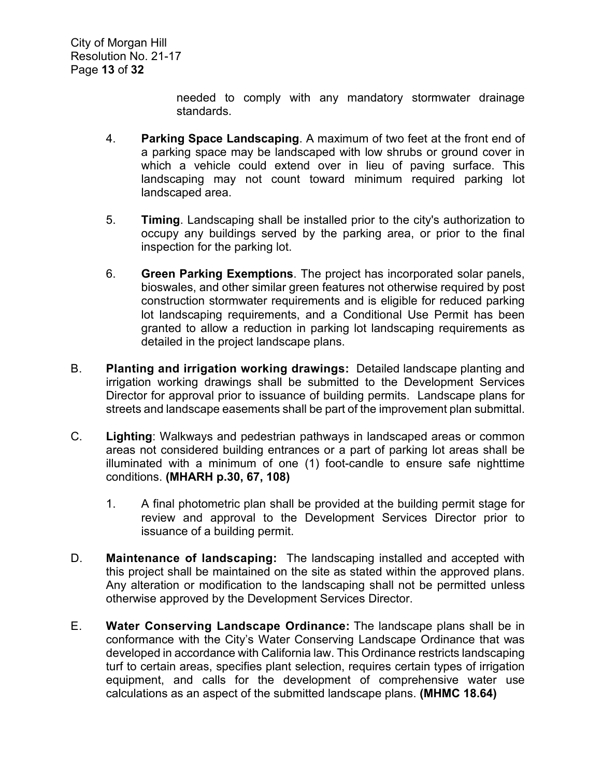needed to comply with any mandatory stormwater drainage standards.

- 4. **Parking Space Landscaping**. A maximum of two feet at the front end of a parking space may be landscaped with low shrubs or ground cover in which a vehicle could extend over in lieu of paving surface. This landscaping may not count toward minimum required parking lot landscaped area.
- 5. **Timing**. Landscaping shall be installed prior to the city's authorization to occupy any buildings served by the parking area, or prior to the final inspection for the parking lot.
- 6. **Green Parking Exemptions**. The project has incorporated solar panels, bioswales, and other similar green features not otherwise required by post construction stormwater requirements and is eligible for reduced parking lot landscaping requirements, and a Conditional Use Permit has been granted to allow a reduction in parking lot landscaping requirements as detailed in the project landscape plans.
- B. **Planting and irrigation working drawings:** Detailed landscape planting and irrigation working drawings shall be submitted to the Development Services Director for approval prior to issuance of building permits. Landscape plans for streets and landscape easements shall be part of the improvement plan submittal.
- C. **Lighting**: Walkways and pedestrian pathways in landscaped areas or common areas not considered building entrances or a part of parking lot areas shall be illuminated with a minimum of one (1) foot-candle to ensure safe nighttime conditions. **(MHARH p.30, 67, 108)**
	- 1. A final photometric plan shall be provided at the building permit stage for review and approval to the Development Services Director prior to issuance of a building permit.
- D. **Maintenance of landscaping:** The landscaping installed and accepted with this project shall be maintained on the site as stated within the approved plans. Any alteration or modification to the landscaping shall not be permitted unless otherwise approved by the Development Services Director.
- E. **Water Conserving Landscape Ordinance:** The landscape plans shall be in conformance with the City's Water Conserving Landscape Ordinance that was developed in accordance with California law. This Ordinance restricts landscaping turf to certain areas, specifies plant selection, requires certain types of irrigation equipment, and calls for the development of comprehensive water use calculations as an aspect of the submitted landscape plans. **(MHMC 18.64)**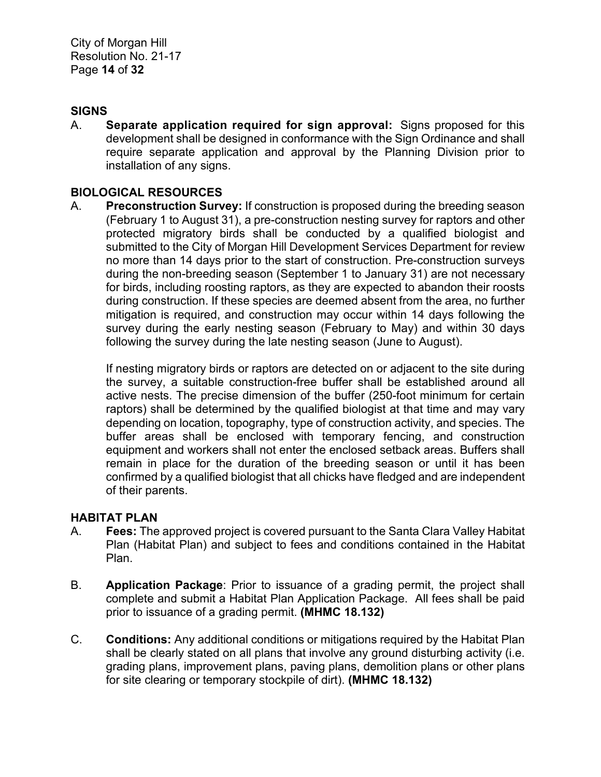City of Morgan Hill Resolution No. 21-17 Page **14** of **32**

#### **SIGNS**

A. **Separate application required for sign approval:** Signs proposed for this development shall be designed in conformance with the Sign Ordinance and shall require separate application and approval by the Planning Division prior to installation of any signs.

#### **BIOLOGICAL RESOURCES**

A. **Preconstruction Survey:** If construction is proposed during the breeding season (February 1 to August 31), a pre-construction nesting survey for raptors and other protected migratory birds shall be conducted by a qualified biologist and submitted to the City of Morgan Hill Development Services Department for review no more than 14 days prior to the start of construction. Pre-construction surveys during the non-breeding season (September 1 to January 31) are not necessary for birds, including roosting raptors, as they are expected to abandon their roosts during construction. If these species are deemed absent from the area, no further mitigation is required, and construction may occur within 14 days following the survey during the early nesting season (February to May) and within 30 days following the survey during the late nesting season (June to August).

If nesting migratory birds or raptors are detected on or adjacent to the site during the survey, a suitable construction-free buffer shall be established around all active nests. The precise dimension of the buffer (250-foot minimum for certain raptors) shall be determined by the qualified biologist at that time and may vary depending on location, topography, type of construction activity, and species. The buffer areas shall be enclosed with temporary fencing, and construction equipment and workers shall not enter the enclosed setback areas. Buffers shall remain in place for the duration of the breeding season or until it has been confirmed by a qualified biologist that all chicks have fledged and are independent of their parents.

#### **HABITAT PLAN**

- A. **Fees:** The approved project is covered pursuant to the Santa Clara Valley Habitat Plan (Habitat Plan) and subject to fees and conditions contained in the Habitat Plan.
- B. **Application Package**: Prior to issuance of a grading permit, the project shall complete and submit a Habitat Plan Application Package. All fees shall be paid prior to issuance of a grading permit. **(MHMC 18.132)**
- C. **Conditions:** Any additional conditions or mitigations required by the Habitat Plan shall be clearly stated on all plans that involve any ground disturbing activity (i.e. grading plans, improvement plans, paving plans, demolition plans or other plans for site clearing or temporary stockpile of dirt). **(MHMC 18.132)**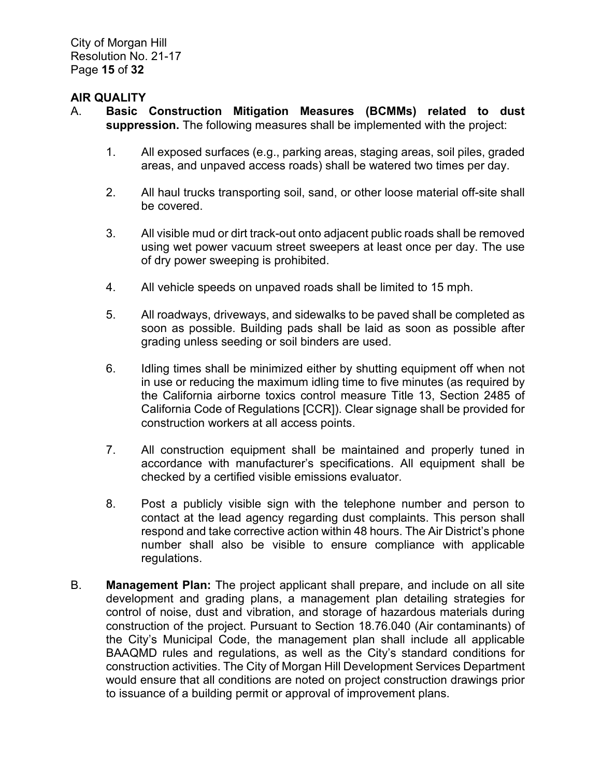City of Morgan Hill Resolution No. 21-17 Page **15** of **32**

#### **AIR QUALITY**

- A. **Basic Construction Mitigation Measures (BCMMs) related to dust suppression.** The following measures shall be implemented with the project:
	- 1. All exposed surfaces (e.g., parking areas, staging areas, soil piles, graded areas, and unpaved access roads) shall be watered two times per day.
	- 2. All haul trucks transporting soil, sand, or other loose material off-site shall be covered.
	- 3. All visible mud or dirt track-out onto adjacent public roads shall be removed using wet power vacuum street sweepers at least once per day. The use of dry power sweeping is prohibited.
	- 4. All vehicle speeds on unpaved roads shall be limited to 15 mph.
	- 5. All roadways, driveways, and sidewalks to be paved shall be completed as soon as possible. Building pads shall be laid as soon as possible after grading unless seeding or soil binders are used.
	- 6. Idling times shall be minimized either by shutting equipment off when not in use or reducing the maximum idling time to five minutes (as required by the California airborne toxics control measure Title 13, Section 2485 of California Code of Regulations [CCR]). Clear signage shall be provided for construction workers at all access points.
	- 7. All construction equipment shall be maintained and properly tuned in accordance with manufacturer's specifications. All equipment shall be checked by a certified visible emissions evaluator.
	- 8. Post a publicly visible sign with the telephone number and person to contact at the lead agency regarding dust complaints. This person shall respond and take corrective action within 48 hours. The Air District's phone number shall also be visible to ensure compliance with applicable regulations.
- B. **Management Plan:** The project applicant shall prepare, and include on all site development and grading plans, a management plan detailing strategies for control of noise, dust and vibration, and storage of hazardous materials during construction of the project. Pursuant to Section 18.76.040 (Air contaminants) of the City's Municipal Code, the management plan shall include all applicable BAAQMD rules and regulations, as well as the City's standard conditions for construction activities. The City of Morgan Hill Development Services Department would ensure that all conditions are noted on project construction drawings prior to issuance of a building permit or approval of improvement plans.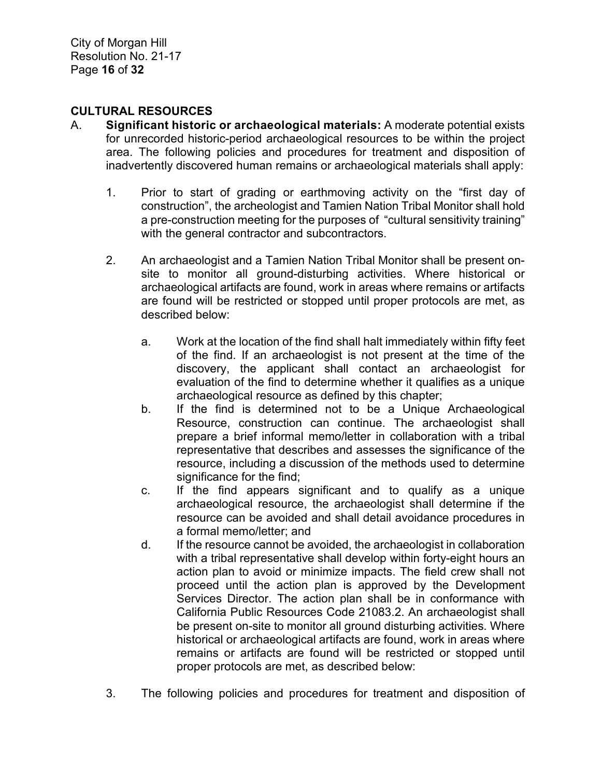# **CULTURAL RESOURCES**

- A. **Significant historic or archaeological materials:** A moderate potential exists for unrecorded historic-period archaeological resources to be within the project area. The following policies and procedures for treatment and disposition of inadvertently discovered human remains or archaeological materials shall apply:
	- 1. Prior to start of grading or earthmoving activity on the "first day of construction", the archeologist and Tamien Nation Tribal Monitor shall hold a pre-construction meeting for the purposes of "cultural sensitivity training" with the general contractor and subcontractors.
	- 2. An archaeologist and a Tamien Nation Tribal Monitor shall be present onsite to monitor all ground-disturbing activities. Where historical or archaeological artifacts are found, work in areas where remains or artifacts are found will be restricted or stopped until proper protocols are met, as described below:
		- a. Work at the location of the find shall halt immediately within fifty feet of the find. If an archaeologist is not present at the time of the discovery, the applicant shall contact an archaeologist for evaluation of the find to determine whether it qualifies as a unique archaeological resource as defined by this chapter;
		- b. If the find is determined not to be a Unique Archaeological Resource, construction can continue. The archaeologist shall prepare a brief informal memo/letter in collaboration with a tribal representative that describes and assesses the significance of the resource, including a discussion of the methods used to determine significance for the find:
		- c. If the find appears significant and to qualify as a unique archaeological resource, the archaeologist shall determine if the resource can be avoided and shall detail avoidance procedures in a formal memo/letter; and
		- d. If the resource cannot be avoided, the archaeologist in collaboration with a tribal representative shall develop within forty-eight hours an action plan to avoid or minimize impacts. The field crew shall not proceed until the action plan is approved by the Development Services Director. The action plan shall be in conformance with California Public Resources Code 21083.2. An archaeologist shall be present on-site to monitor all ground disturbing activities. Where historical or archaeological artifacts are found, work in areas where remains or artifacts are found will be restricted or stopped until proper protocols are met, as described below:
	- 3. The following policies and procedures for treatment and disposition of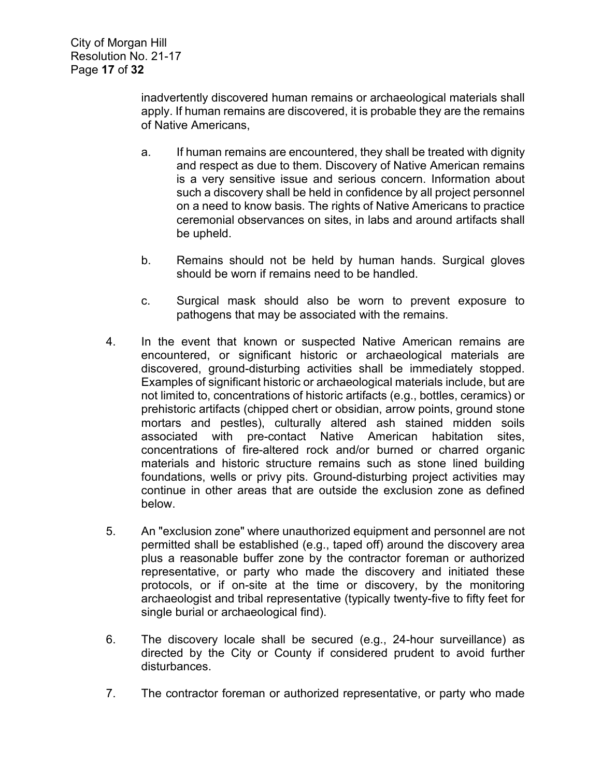inadvertently discovered human remains or archaeological materials shall apply. If human remains are discovered, it is probable they are the remains of Native Americans,

- a. If human remains are encountered, they shall be treated with dignity and respect as due to them. Discovery of Native American remains is a very sensitive issue and serious concern. Information about such a discovery shall be held in confidence by all project personnel on a need to know basis. The rights of Native Americans to practice ceremonial observances on sites, in labs and around artifacts shall be upheld.
- b. Remains should not be held by human hands. Surgical gloves should be worn if remains need to be handled.
- c. Surgical mask should also be worn to prevent exposure to pathogens that may be associated with the remains.
- 4. In the event that known or suspected Native American remains are encountered, or significant historic or archaeological materials are discovered, ground-disturbing activities shall be immediately stopped. Examples of significant historic or archaeological materials include, but are not limited to, concentrations of historic artifacts (e.g., bottles, ceramics) or prehistoric artifacts (chipped chert or obsidian, arrow points, ground stone mortars and pestles), culturally altered ash stained midden soils associated with pre-contact Native American habitation sites, concentrations of fire-altered rock and/or burned or charred organic materials and historic structure remains such as stone lined building foundations, wells or privy pits. Ground-disturbing project activities may continue in other areas that are outside the exclusion zone as defined below.
- 5. An "exclusion zone" where unauthorized equipment and personnel are not permitted shall be established (e.g., taped off) around the discovery area plus a reasonable buffer zone by the contractor foreman or authorized representative, or party who made the discovery and initiated these protocols, or if on-site at the time or discovery, by the monitoring archaeologist and tribal representative (typically twenty-five to fifty feet for single burial or archaeological find).
- 6. The discovery locale shall be secured (e.g., 24-hour surveillance) as directed by the City or County if considered prudent to avoid further disturbances.
- 7. The contractor foreman or authorized representative, or party who made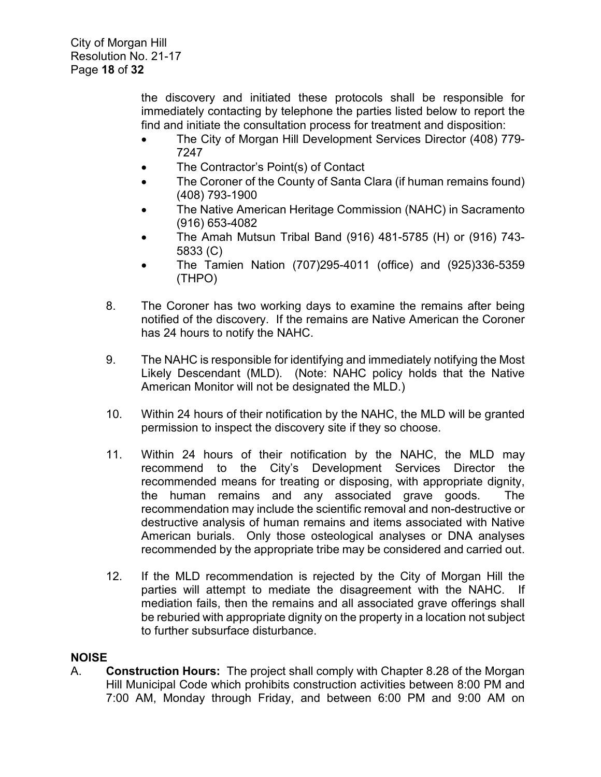the discovery and initiated these protocols shall be responsible for immediately contacting by telephone the parties listed below to report the find and initiate the consultation process for treatment and disposition:

- The City of Morgan Hill Development Services Director (408) 779- 7247
- The Contractor's Point(s) of Contact
- The Coroner of the County of Santa Clara (if human remains found) (408) 793-1900
- The Native American Heritage Commission (NAHC) in Sacramento (916) 653-4082
- The Amah Mutsun Tribal Band (916) 481-5785 (H) or (916) 743- 5833 (C)
- The Tamien Nation (707)295-4011 (office) and (925)336-5359 (THPO)
- 8. The Coroner has two working days to examine the remains after being notified of the discovery. If the remains are Native American the Coroner has 24 hours to notify the NAHC.
- 9. The NAHC is responsible for identifying and immediately notifying the Most Likely Descendant (MLD). (Note: NAHC policy holds that the Native American Monitor will not be designated the MLD.)
- 10. Within 24 hours of their notification by the NAHC, the MLD will be granted permission to inspect the discovery site if they so choose.
- 11. Within 24 hours of their notification by the NAHC, the MLD may recommend to the City's Development Services Director the recommended means for treating or disposing, with appropriate dignity, the human remains and any associated grave goods. The recommendation may include the scientific removal and non-destructive or destructive analysis of human remains and items associated with Native American burials. Only those osteological analyses or DNA analyses recommended by the appropriate tribe may be considered and carried out.
- 12. If the MLD recommendation is rejected by the City of Morgan Hill the parties will attempt to mediate the disagreement with the NAHC. If mediation fails, then the remains and all associated grave offerings shall be reburied with appropriate dignity on the property in a location not subject to further subsurface disturbance.

# **NOISE**

A. **Construction Hours:** The project shall comply with Chapter 8.28 of the Morgan Hill Municipal Code which prohibits construction activities between 8:00 PM and 7:00 AM, Monday through Friday, and between 6:00 PM and 9:00 AM on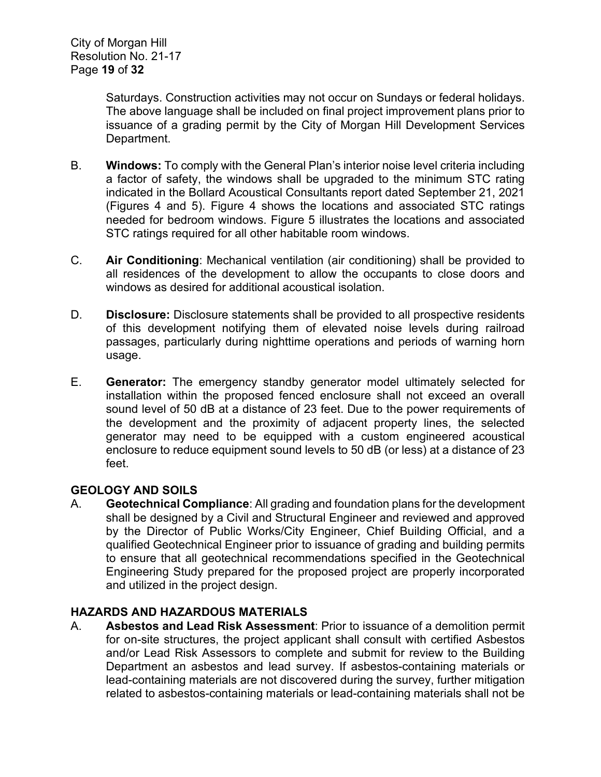Saturdays. Construction activities may not occur on Sundays or federal holidays. The above language shall be included on final project improvement plans prior to issuance of a grading permit by the City of Morgan Hill Development Services Department.

- B. **Windows:** To comply with the General Plan's interior noise level criteria including a factor of safety, the windows shall be upgraded to the minimum STC rating indicated in the Bollard Acoustical Consultants report dated September 21, 2021 (Figures 4 and 5). Figure 4 shows the locations and associated STC ratings needed for bedroom windows. Figure 5 illustrates the locations and associated STC ratings required for all other habitable room windows.
- C. **Air Conditioning**: Mechanical ventilation (air conditioning) shall be provided to all residences of the development to allow the occupants to close doors and windows as desired for additional acoustical isolation.
- D. **Disclosure:** Disclosure statements shall be provided to all prospective residents of this development notifying them of elevated noise levels during railroad passages, particularly during nighttime operations and periods of warning horn usage.
- E. **Generator:** The emergency standby generator model ultimately selected for installation within the proposed fenced enclosure shall not exceed an overall sound level of 50 dB at a distance of 23 feet. Due to the power requirements of the development and the proximity of adjacent property lines, the selected generator may need to be equipped with a custom engineered acoustical enclosure to reduce equipment sound levels to 50 dB (or less) at a distance of 23 feet.

# **GEOLOGY AND SOILS**

A. **Geotechnical Compliance**: All grading and foundation plans for the development shall be designed by a Civil and Structural Engineer and reviewed and approved by the Director of Public Works/City Engineer, Chief Building Official, and a qualified Geotechnical Engineer prior to issuance of grading and building permits to ensure that all geotechnical recommendations specified in the Geotechnical Engineering Study prepared for the proposed project are properly incorporated and utilized in the project design.

# **HAZARDS AND HAZARDOUS MATERIALS**

A. **Asbestos and Lead Risk Assessment**: Prior to issuance of a demolition permit for on-site structures, the project applicant shall consult with certified Asbestos and/or Lead Risk Assessors to complete and submit for review to the Building Department an asbestos and lead survey. If asbestos-containing materials or lead-containing materials are not discovered during the survey, further mitigation related to asbestos-containing materials or lead-containing materials shall not be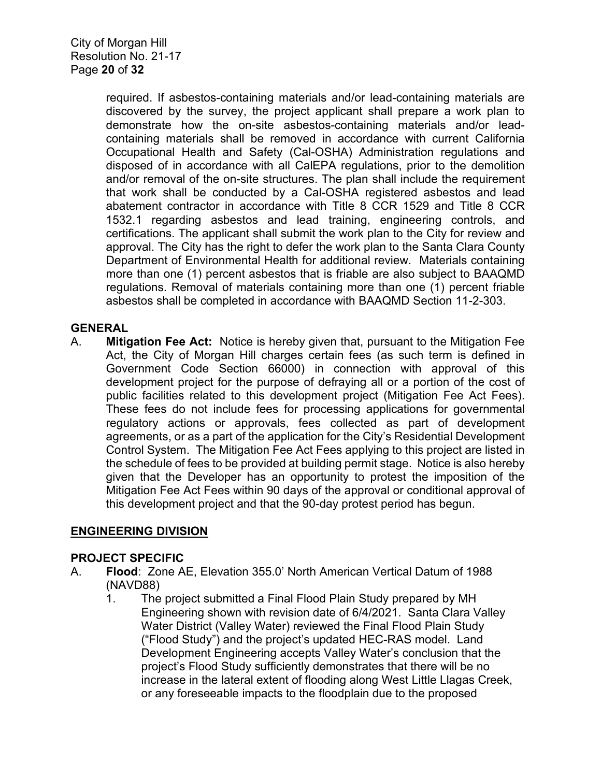required. If asbestos-containing materials and/or lead-containing materials are discovered by the survey, the project applicant shall prepare a work plan to demonstrate how the on-site asbestos-containing materials and/or leadcontaining materials shall be removed in accordance with current California Occupational Health and Safety (Cal-OSHA) Administration regulations and disposed of in accordance with all CalEPA regulations, prior to the demolition and/or removal of the on-site structures. The plan shall include the requirement that work shall be conducted by a Cal-OSHA registered asbestos and lead abatement contractor in accordance with Title 8 CCR 1529 and Title 8 CCR 1532.1 regarding asbestos and lead training, engineering controls, and certifications. The applicant shall submit the work plan to the City for review and approval. The City has the right to defer the work plan to the Santa Clara County Department of Environmental Health for additional review. Materials containing more than one (1) percent asbestos that is friable are also subject to BAAQMD regulations. Removal of materials containing more than one (1) percent friable asbestos shall be completed in accordance with BAAQMD Section 11-2-303.

# **GENERAL**

A. **Mitigation Fee Act:** Notice is hereby given that, pursuant to the Mitigation Fee Act, the City of Morgan Hill charges certain fees (as such term is defined in Government Code Section 66000) in connection with approval of this development project for the purpose of defraying all or a portion of the cost of public facilities related to this development project (Mitigation Fee Act Fees). These fees do not include fees for processing applications for governmental regulatory actions or approvals, fees collected as part of development agreements, or as a part of the application for the City's Residential Development Control System. The Mitigation Fee Act Fees applying to this project are listed in the schedule of fees to be provided at building permit stage. Notice is also hereby given that the Developer has an opportunity to protest the imposition of the Mitigation Fee Act Fees within 90 days of the approval or conditional approval of this development project and that the 90-day protest period has begun.

# **ENGINEERING DIVISION**

# **PROJECT SPECIFIC**

- A. **Flood**: Zone AE, Elevation 355.0' North American Vertical Datum of 1988 (NAVD88)
	- 1. The project submitted a Final Flood Plain Study prepared by MH Engineering shown with revision date of 6/4/2021. Santa Clara Valley Water District (Valley Water) reviewed the Final Flood Plain Study ("Flood Study") and the project's updated HEC-RAS model. Land Development Engineering accepts Valley Water's conclusion that the project's Flood Study sufficiently demonstrates that there will be no increase in the lateral extent of flooding along West Little Llagas Creek, or any foreseeable impacts to the floodplain due to the proposed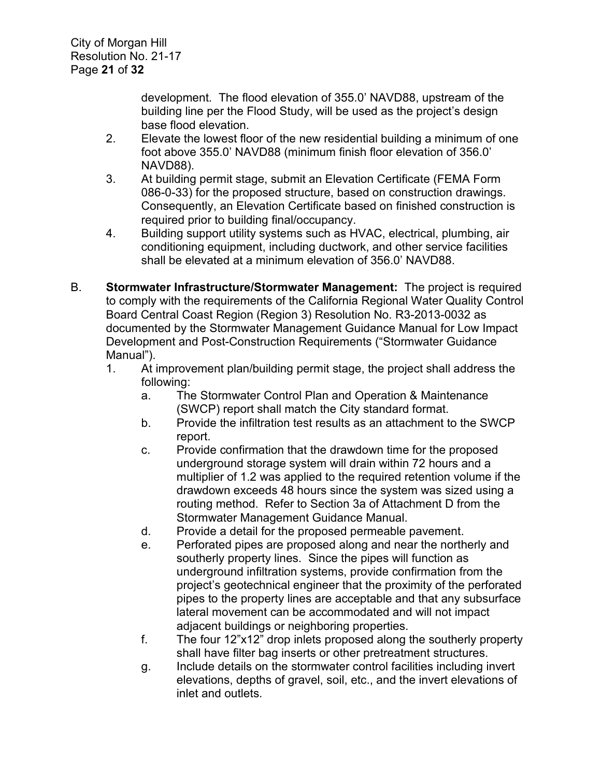development. The flood elevation of 355.0' NAVD88, upstream of the building line per the Flood Study, will be used as the project's design base flood elevation.

- 2. Elevate the lowest floor of the new residential building a minimum of one foot above 355.0' NAVD88 (minimum finish floor elevation of 356.0' NAVD88).
- 3. At building permit stage, submit an Elevation Certificate (FEMA Form 086-0-33) for the proposed structure, based on construction drawings. Consequently, an Elevation Certificate based on finished construction is required prior to building final/occupancy.
- 4. Building support utility systems such as HVAC, electrical, plumbing, air conditioning equipment, including ductwork, and other service facilities shall be elevated at a minimum elevation of 356.0' NAVD88.
- B. **Stormwater Infrastructure/Stormwater Management:** The project is required to comply with the requirements of the California Regional Water Quality Control Board Central Coast Region (Region 3) Resolution No. R3-2013-0032 as documented by the Stormwater Management Guidance Manual for Low Impact Development and Post-Construction Requirements ("Stormwater Guidance Manual").
	- 1. At improvement plan/building permit stage, the project shall address the following:
		- a. The Stormwater Control Plan and Operation & Maintenance (SWCP) report shall match the City standard format.
		- b. Provide the infiltration test results as an attachment to the SWCP report.
		- c. Provide confirmation that the drawdown time for the proposed underground storage system will drain within 72 hours and a multiplier of 1.2 was applied to the required retention volume if the drawdown exceeds 48 hours since the system was sized using a routing method. Refer to Section 3a of Attachment D from the Stormwater Management Guidance Manual.
		- d. Provide a detail for the proposed permeable pavement.
		- e. Perforated pipes are proposed along and near the northerly and southerly property lines. Since the pipes will function as underground infiltration systems, provide confirmation from the project's geotechnical engineer that the proximity of the perforated pipes to the property lines are acceptable and that any subsurface lateral movement can be accommodated and will not impact adjacent buildings or neighboring properties.
		- f. The four 12"x12" drop inlets proposed along the southerly property shall have filter bag inserts or other pretreatment structures.
		- g. Include details on the stormwater control facilities including invert elevations, depths of gravel, soil, etc., and the invert elevations of inlet and outlets.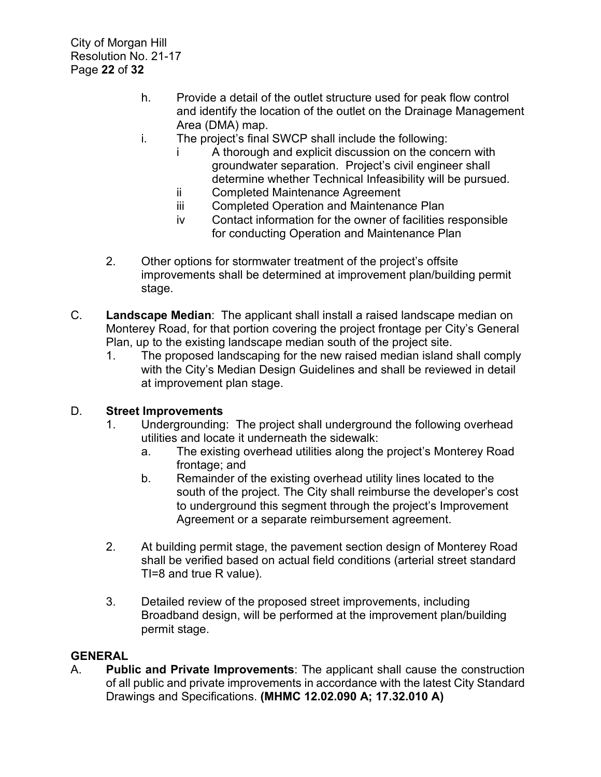- h. Provide a detail of the outlet structure used for peak flow control and identify the location of the outlet on the Drainage Management Area (DMA) map.
- i. The project's final SWCP shall include the following:
	- i A thorough and explicit discussion on the concern with groundwater separation. Project's civil engineer shall determine whether Technical Infeasibility will be pursued.
	- ii Completed Maintenance Agreement
	- iii Completed Operation and Maintenance Plan
	- iv Contact information for the owner of facilities responsible for conducting Operation and Maintenance Plan
- 2. Other options for stormwater treatment of the project's offsite improvements shall be determined at improvement plan/building permit stage.
- C. **Landscape Median**: The applicant shall install a raised landscape median on Monterey Road, for that portion covering the project frontage per City's General Plan, up to the existing landscape median south of the project site.
	- 1. The proposed landscaping for the new raised median island shall comply with the City's Median Design Guidelines and shall be reviewed in detail at improvement plan stage.

# D. **Street Improvements**

- 1. Undergrounding: The project shall underground the following overhead utilities and locate it underneath the sidewalk:
	- a. The existing overhead utilities along the project's Monterey Road frontage; and
	- b. Remainder of the existing overhead utility lines located to the south of the project. The City shall reimburse the developer's cost to underground this segment through the project's Improvement Agreement or a separate reimbursement agreement.
- 2. At building permit stage, the pavement section design of Monterey Road shall be verified based on actual field conditions (arterial street standard TI=8 and true R value).
- 3. Detailed review of the proposed street improvements, including Broadband design, will be performed at the improvement plan/building permit stage.

# **GENERAL**

A. **Public and Private Improvements**: The applicant shall cause the construction of all public and private improvements in accordance with the latest City Standard Drawings and Specifications. **(MHMC 12.02.090 A; 17.32.010 A)**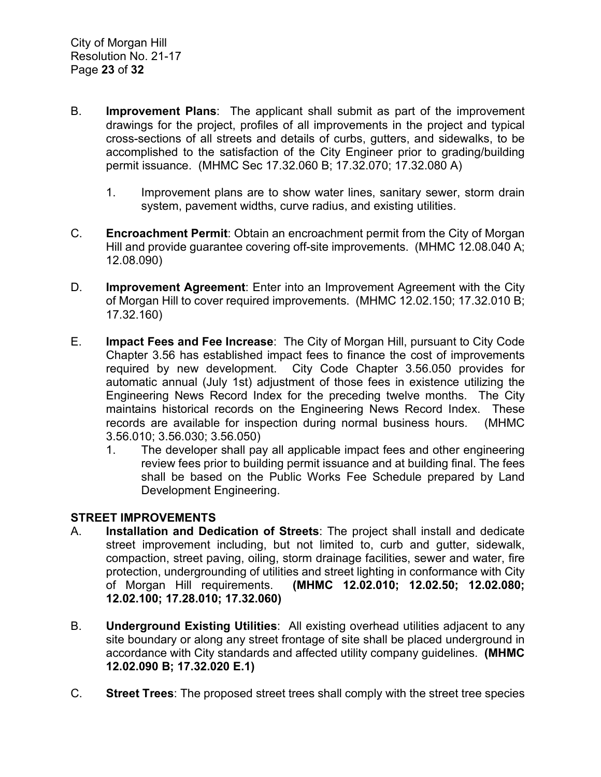- B. **Improvement Plans**: The applicant shall submit as part of the improvement drawings for the project, profiles of all improvements in the project and typical cross-sections of all streets and details of curbs, gutters, and sidewalks, to be accomplished to the satisfaction of the City Engineer prior to grading/building permit issuance. (MHMC Sec 17.32.060 B; 17.32.070; 17.32.080 A)
	- 1. Improvement plans are to show water lines, sanitary sewer, storm drain system, pavement widths, curve radius, and existing utilities.
- C. **Encroachment Permit**: Obtain an encroachment permit from the City of Morgan Hill and provide guarantee covering off-site improvements. (MHMC 12.08.040 A; 12.08.090)
- D. **Improvement Agreement**: Enter into an Improvement Agreement with the City of Morgan Hill to cover required improvements. (MHMC 12.02.150; 17.32.010 B; 17.32.160)
- E. **Impact Fees and Fee Increase**: The City of Morgan Hill, pursuant to City Code Chapter 3.56 has established impact fees to finance the cost of improvements required by new development. City Code Chapter 3.56.050 provides for automatic annual (July 1st) adjustment of those fees in existence utilizing the Engineering News Record Index for the preceding twelve months. The City maintains historical records on the Engineering News Record Index. These records are available for inspection during normal business hours. (MHMC 3.56.010; 3.56.030; 3.56.050)
	- 1. The developer shall pay all applicable impact fees and other engineering review fees prior to building permit issuance and at building final. The fees shall be based on the Public Works Fee Schedule prepared by Land Development Engineering.

# **STREET IMPROVEMENTS**

- A. **Installation and Dedication of Streets**: The project shall install and dedicate street improvement including, but not limited to, curb and gutter, sidewalk, compaction, street paving, oiling, storm drainage facilities, sewer and water, fire protection, undergrounding of utilities and street lighting in conformance with City of Morgan Hill requirements. **(MHMC 12.02.010; 12.02.50; 12.02.080; 12.02.100; 17.28.010; 17.32.060)**
- B. **Underground Existing Utilities**: All existing overhead utilities adjacent to any site boundary or along any street frontage of site shall be placed underground in accordance with City standards and affected utility company guidelines. **(MHMC 12.02.090 B; 17.32.020 E.1)**
- C. **Street Trees**: The proposed street trees shall comply with the street tree species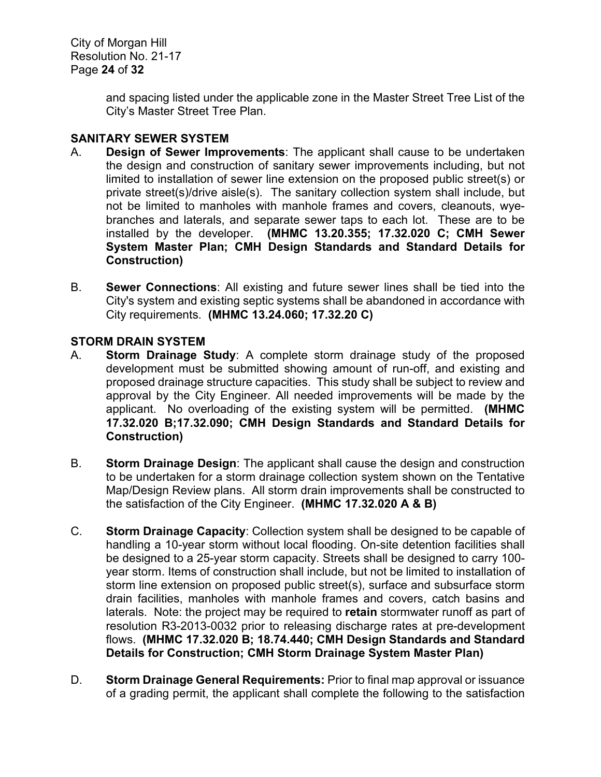City of Morgan Hill Resolution No. 21-17 Page **24** of **32**

> and spacing listed under the applicable zone in the Master Street Tree List of the City's Master Street Tree Plan.

# **SANITARY SEWER SYSTEM**

- A. **Design of Sewer Improvements**: The applicant shall cause to be undertaken the design and construction of sanitary sewer improvements including, but not limited to installation of sewer line extension on the proposed public street(s) or private street(s)/drive aisle(s). The sanitary collection system shall include, but not be limited to manholes with manhole frames and covers, cleanouts, wyebranches and laterals, and separate sewer taps to each lot. These are to be installed by the developer. **(MHMC 13.20.355; 17.32.020 C; CMH Sewer System Master Plan; CMH Design Standards and Standard Details for Construction)**
- B. **Sewer Connections**: All existing and future sewer lines shall be tied into the City's system and existing septic systems shall be abandoned in accordance with City requirements. **(MHMC 13.24.060; 17.32.20 C)**

# **STORM DRAIN SYSTEM**

- A. **Storm Drainage Study**: A complete storm drainage study of the proposed development must be submitted showing amount of run-off, and existing and proposed drainage structure capacities. This study shall be subject to review and approval by the City Engineer. All needed improvements will be made by the applicant. No overloading of the existing system will be permitted. **(MHMC 17.32.020 B;17.32.090; CMH Design Standards and Standard Details for Construction)**
- B. **Storm Drainage Design**: The applicant shall cause the design and construction to be undertaken for a storm drainage collection system shown on the Tentative Map/Design Review plans. All storm drain improvements shall be constructed to the satisfaction of the City Engineer. **(MHMC 17.32.020 A & B)**
- C. **Storm Drainage Capacity**: Collection system shall be designed to be capable of handling a 10-year storm without local flooding. On-site detention facilities shall be designed to a 25-year storm capacity. Streets shall be designed to carry 100 year storm. Items of construction shall include, but not be limited to installation of storm line extension on proposed public street(s), surface and subsurface storm drain facilities, manholes with manhole frames and covers, catch basins and laterals. Note: the project may be required to **retain** stormwater runoff as part of resolution R3-2013-0032 prior to releasing discharge rates at pre-development flows. **(MHMC 17.32.020 B; 18.74.440; CMH Design Standards and Standard Details for Construction; CMH Storm Drainage System Master Plan)**
- D. **Storm Drainage General Requirements:** Prior to final map approval or issuance of a grading permit, the applicant shall complete the following to the satisfaction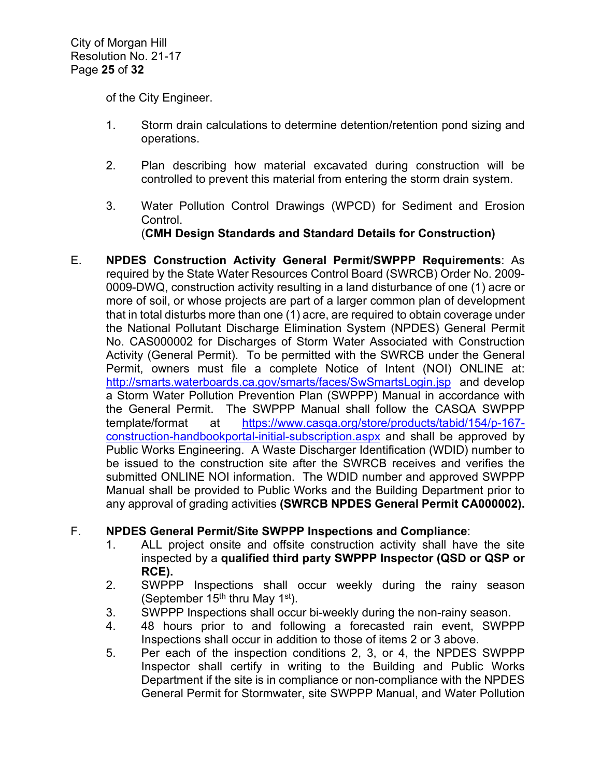of the City Engineer.

- 1. Storm drain calculations to determine detention/retention pond sizing and operations.
- 2. Plan describing how material excavated during construction will be controlled to prevent this material from entering the storm drain system.
- 3. Water Pollution Control Drawings (WPCD) for Sediment and Erosion Control.

(**CMH Design Standards and Standard Details for Construction)**

E. **NPDES Construction Activity General Permit/SWPPP Requirements**: As required by the State Water Resources Control Board (SWRCB) Order No. 2009- 0009-DWQ, construction activity resulting in a land disturbance of one (1) acre or more of soil, or whose projects are part of a larger common plan of development that in total disturbs more than one (1) acre, are required to obtain coverage under the National Pollutant Discharge Elimination System (NPDES) General Permit No. CAS000002 for Discharges of Storm Water Associated with Construction Activity (General Permit). To be permitted with the SWRCB under the General Permit, owners must file a complete Notice of Intent (NOI) ONLINE at: <http://smarts.waterboards.ca.gov/smarts/faces/SwSmartsLogin.jsp>and develop a Storm Water Pollution Prevention Plan (SWPPP) Manual in accordance with the General Permit. The SWPPP Manual shall follow the CASQA SWPPP template/format at [https://www.casqa.org/store/products/tabid/154/p-167](https://www.casqa.org/store/products/tabid/154/p-167-construction-handbookportal-initial-subscription.aspx) [construction-handbookportal-initial-subscription.aspx](https://www.casqa.org/store/products/tabid/154/p-167-construction-handbookportal-initial-subscription.aspx) and shall be approved by Public Works Engineering. A Waste Discharger Identification (WDID) number to be issued to the construction site after the SWRCB receives and verifies the submitted ONLINE NOI information. The WDID number and approved SWPPP Manual shall be provided to Public Works and the Building Department prior to any approval of grading activities **(SWRCB NPDES General Permit CA000002).**

# F. **NPDES General Permit/Site SWPPP Inspections and Compliance**:

- 1. ALL project onsite and offsite construction activity shall have the site inspected by a **qualified third party SWPPP Inspector (QSD or QSP or RCE).**
- 2. SWPPP Inspections shall occur weekly during the rainy season (September 15<sup>th</sup> thru May 1<sup>st</sup>).
- 3. SWPPP Inspections shall occur bi-weekly during the non-rainy season.
- 4. 48 hours prior to and following a forecasted rain event, SWPPP Inspections shall occur in addition to those of items 2 or 3 above.
- 5. Per each of the inspection conditions 2, 3, or 4, the NPDES SWPPP Inspector shall certify in writing to the Building and Public Works Department if the site is in compliance or non-compliance with the NPDES General Permit for Stormwater, site SWPPP Manual, and Water Pollution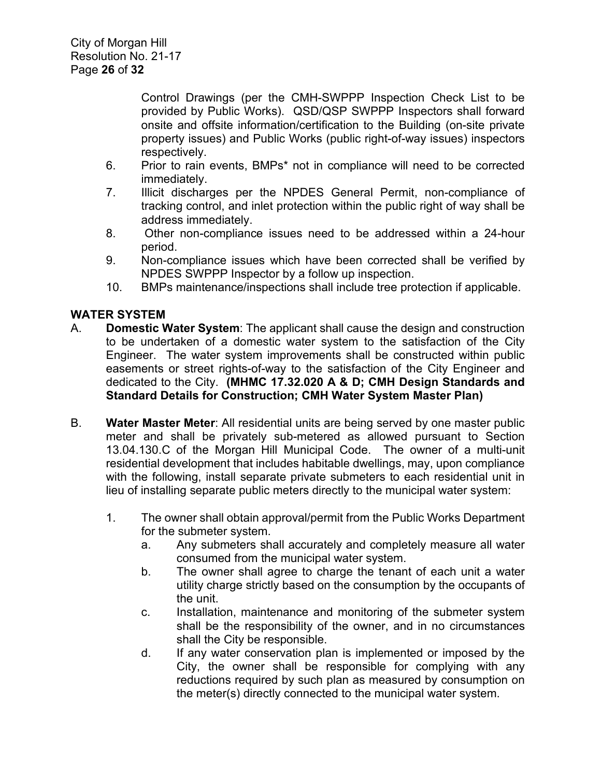Control Drawings (per the CMH-SWPPP Inspection Check List to be provided by Public Works). QSD/QSP SWPPP Inspectors shall forward onsite and offsite information/certification to the Building (on-site private property issues) and Public Works (public right-of-way issues) inspectors respectively.

- 6. Prior to rain events, BMPs\* not in compliance will need to be corrected immediately.
- 7. Illicit discharges per the NPDES General Permit, non-compliance of tracking control, and inlet protection within the public right of way shall be address immediately.
- 8. Other non-compliance issues need to be addressed within a 24-hour period.
- 9. Non-compliance issues which have been corrected shall be verified by NPDES SWPPP Inspector by a follow up inspection.
- 10. BMPs maintenance/inspections shall include tree protection if applicable.

# **WATER SYSTEM**

- A. **Domestic Water System**: The applicant shall cause the design and construction to be undertaken of a domestic water system to the satisfaction of the City Engineer. The water system improvements shall be constructed within public easements or street rights-of-way to the satisfaction of the City Engineer and dedicated to the City. **(MHMC 17.32.020 A & D; CMH Design Standards and Standard Details for Construction; CMH Water System Master Plan)**
- B. **Water Master Meter**: All residential units are being served by one master public meter and shall be privately sub-metered as allowed pursuant to Section 13.04.130.C of the Morgan Hill Municipal Code. The owner of a multi-unit residential development that includes habitable dwellings, may, upon compliance with the following, install separate private submeters to each residential unit in lieu of installing separate public meters directly to the municipal water system:
	- 1. The owner shall obtain approval/permit from the Public Works Department for the submeter system.
		- a. Any submeters shall accurately and completely measure all water consumed from the municipal water system.
		- b. The owner shall agree to charge the tenant of each unit a water utility charge strictly based on the consumption by the occupants of the unit.
		- c. Installation, maintenance and monitoring of the submeter system shall be the responsibility of the owner, and in no circumstances shall the City be responsible.
		- d. If any water conservation plan is implemented or imposed by the City, the owner shall be responsible for complying with any reductions required by such plan as measured by consumption on the meter(s) directly connected to the municipal water system.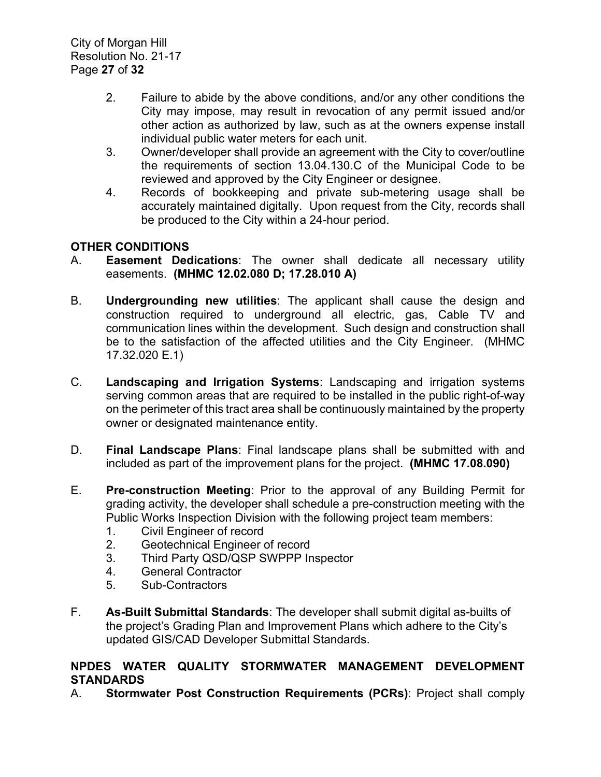City of Morgan Hill Resolution No. 21-17 Page **27** of **32**

- 2. Failure to abide by the above conditions, and/or any other conditions the City may impose, may result in revocation of any permit issued and/or other action as authorized by law, such as at the owners expense install individual public water meters for each unit.
- 3. Owner/developer shall provide an agreement with the City to cover/outline the requirements of section 13.04.130.C of the Municipal Code to be reviewed and approved by the City Engineer or designee.
- 4. Records of bookkeeping and private sub-metering usage shall be accurately maintained digitally. Upon request from the City, records shall be produced to the City within a 24-hour period.

# **OTHER CONDITIONS**

- A. **Easement Dedications**: The owner shall dedicate all necessary utility easements. **(MHMC 12.02.080 D; 17.28.010 A)**
- B. **Undergrounding new utilities**: The applicant shall cause the design and construction required to underground all electric, gas, Cable TV and communication lines within the development. Such design and construction shall be to the satisfaction of the affected utilities and the City Engineer. (MHMC 17.32.020 E.1)
- C. **Landscaping and Irrigation Systems**: Landscaping and irrigation systems serving common areas that are required to be installed in the public right-of-way on the perimeter of this tract area shall be continuously maintained by the property owner or designated maintenance entity.
- D. **Final Landscape Plans**: Final landscape plans shall be submitted with and included as part of the improvement plans for the project. **(MHMC 17.08.090)**
- E. **Pre-construction Meeting**: Prior to the approval of any Building Permit for grading activity, the developer shall schedule a pre-construction meeting with the Public Works Inspection Division with the following project team members:
	- 1. Civil Engineer of record
	- 2. Geotechnical Engineer of record
	- 3. Third Party QSD/QSP SWPPP Inspector
	- 4. General Contractor
	- 5. Sub-Contractors
- F. **As-Built Submittal Standards**: The developer shall submit digital as-builts of the project's Grading Plan and Improvement Plans which adhere to the City's updated GIS/CAD Developer Submittal Standards.

# **NPDES WATER QUALITY STORMWATER MANAGEMENT DEVELOPMENT STANDARDS**

A. **Stormwater Post Construction Requirements (PCRs)**: Project shall comply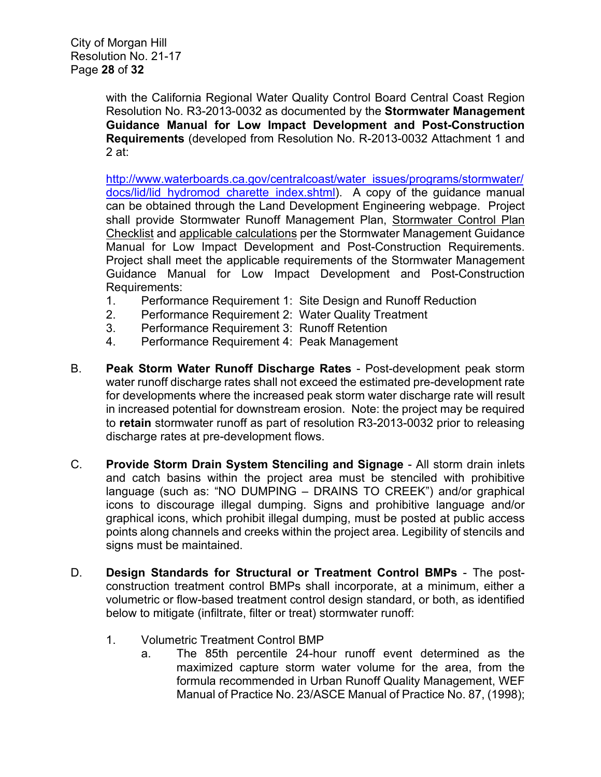with the California Regional Water Quality Control Board Central Coast Region Resolution No. R3-2013-0032 as documented by the **Stormwater Management Guidance Manual for Low Impact Development and Post-Construction Requirements** (developed from Resolution No. R-2013-0032 Attachment 1 and 2 at:

[http://www.waterboards.ca.gov/centralcoast/water\\_issues/programs/stormwater/](http://www.waterboards.ca.gov/centralcoast/water_issues/programs/stormwater/docs/lid/lid_hydromod_charette_index.shtml) docs/lid/lid hydromod charette index.shtml). A copy of the guidance manual can be obtained through the Land Development Engineering webpage. Project shall provide Stormwater Runoff Management Plan, Stormwater Control Plan Checklist and applicable calculations per the Stormwater Management Guidance Manual for Low Impact Development and Post-Construction Requirements. Project shall meet the applicable requirements of the Stormwater Management Guidance Manual for Low Impact Development and Post-Construction Requirements:

- 1. Performance Requirement 1: Site Design and Runoff Reduction
- 2. Performance Requirement 2: Water Quality Treatment
- 3. Performance Requirement 3: Runoff Retention<br>4. Performance Requirement 4: Peak Managemer
- Performance Requirement 4: Peak Management
- B. **Peak Storm Water Runoff Discharge Rates** Post-development peak storm water runoff discharge rates shall not exceed the estimated pre-development rate for developments where the increased peak storm water discharge rate will result in increased potential for downstream erosion. Note: the project may be required to **retain** stormwater runoff as part of resolution R3-2013-0032 prior to releasing discharge rates at pre-development flows.
- C. **Provide Storm Drain System Stenciling and Signage** All storm drain inlets and catch basins within the project area must be stenciled with prohibitive language (such as: "NO DUMPING – DRAINS TO CREEK") and/or graphical icons to discourage illegal dumping. Signs and prohibitive language and/or graphical icons, which prohibit illegal dumping, must be posted at public access points along channels and creeks within the project area. Legibility of stencils and signs must be maintained.
- D. **Design Standards for Structural or Treatment Control BMPs** The postconstruction treatment control BMPs shall incorporate, at a minimum, either a volumetric or flow-based treatment control design standard, or both, as identified below to mitigate (infiltrate, filter or treat) stormwater runoff:
	- 1. Volumetric Treatment Control BMP
		- a. The 85th percentile 24-hour runoff event determined as the maximized capture storm water volume for the area, from the formula recommended in Urban Runoff Quality Management, WEF Manual of Practice No. 23/ASCE Manual of Practice No. 87, (1998);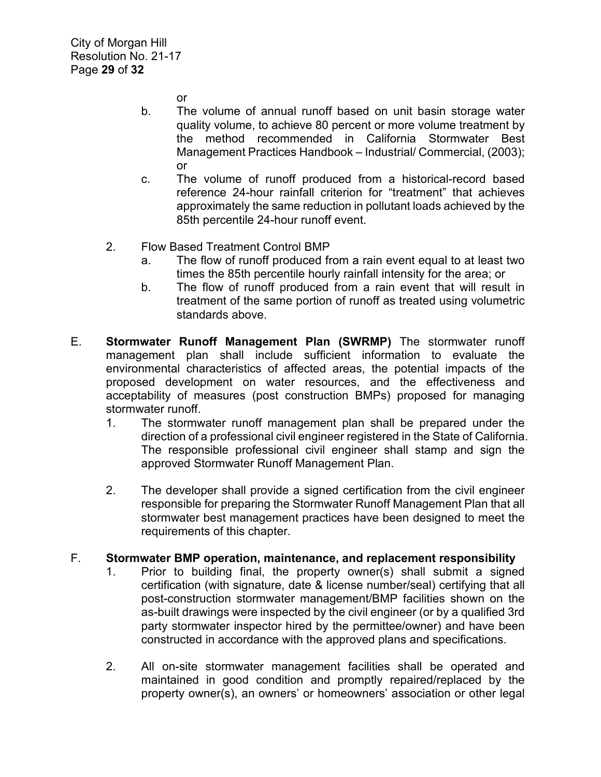or

- b. The volume of annual runoff based on unit basin storage water quality volume, to achieve 80 percent or more volume treatment by the method recommended in California Stormwater Best Management Practices Handbook – Industrial/ Commercial, (2003); or
- c. The volume of runoff produced from a historical-record based reference 24-hour rainfall criterion for "treatment" that achieves approximately the same reduction in pollutant loads achieved by the 85th percentile 24-hour runoff event.
- 2. Flow Based Treatment Control BMP
	- a. The flow of runoff produced from a rain event equal to at least two times the 85th percentile hourly rainfall intensity for the area; or
	- b. The flow of runoff produced from a rain event that will result in treatment of the same portion of runoff as treated using volumetric standards above.
- E. **Stormwater Runoff Management Plan (SWRMP)** The stormwater runoff management plan shall include sufficient information to evaluate the environmental characteristics of affected areas, the potential impacts of the proposed development on water resources, and the effectiveness and acceptability of measures (post construction BMPs) proposed for managing stormwater runoff.
	- 1. The stormwater runoff management plan shall be prepared under the direction of a professional civil engineer registered in the State of California. The responsible professional civil engineer shall stamp and sign the approved Stormwater Runoff Management Plan.
	- 2. The developer shall provide a signed certification from the civil engineer responsible for preparing the Stormwater Runoff Management Plan that all stormwater best management practices have been designed to meet the requirements of this chapter.

#### F. **Stormwater BMP operation, maintenance, and replacement responsibility**

- 1. Prior to building final, the property owner(s) shall submit a signed certification (with signature, date & license number/seal) certifying that all post-construction stormwater management/BMP facilities shown on the as-built drawings were inspected by the civil engineer (or by a qualified 3rd party stormwater inspector hired by the permittee/owner) and have been constructed in accordance with the approved plans and specifications.
- 2. All on-site stormwater management facilities shall be operated and maintained in good condition and promptly repaired/replaced by the property owner(s), an owners' or homeowners' association or other legal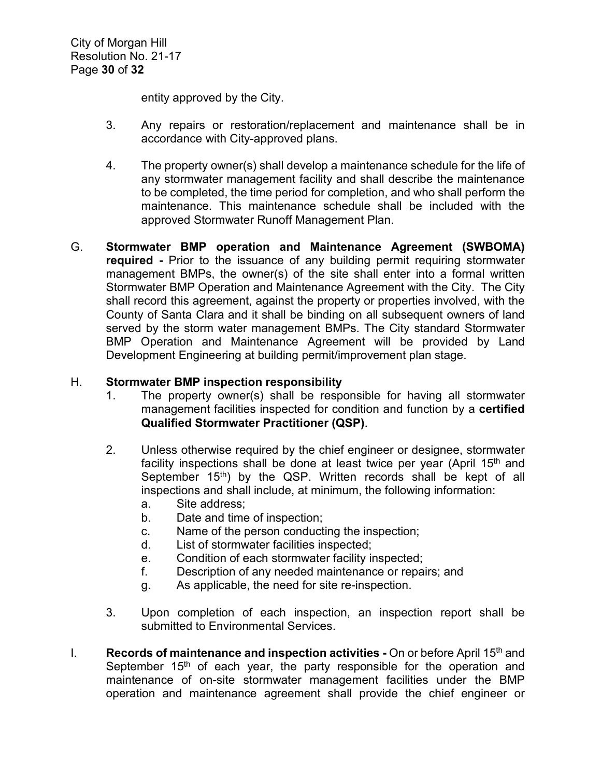entity approved by the City.

- 3. Any repairs or restoration/replacement and maintenance shall be in accordance with City-approved plans.
- 4. The property owner(s) shall develop a maintenance schedule for the life of any stormwater management facility and shall describe the maintenance to be completed, the time period for completion, and who shall perform the maintenance. This maintenance schedule shall be included with the approved Stormwater Runoff Management Plan.
- G. **Stormwater BMP operation and Maintenance Agreement (SWBOMA) required -** Prior to the issuance of any building permit requiring stormwater management BMPs, the owner(s) of the site shall enter into a formal written Stormwater BMP Operation and Maintenance Agreement with the City. The City shall record this agreement, against the property or properties involved, with the County of Santa Clara and it shall be binding on all subsequent owners of land served by the storm water management BMPs. The City standard Stormwater BMP Operation and Maintenance Agreement will be provided by Land Development Engineering at building permit/improvement plan stage.

# H. **Stormwater BMP inspection responsibility**

- 1. The property owner(s) shall be responsible for having all stormwater management facilities inspected for condition and function by a **certified Qualified Stormwater Practitioner (QSP)**.
- 2. Unless otherwise required by the chief engineer or designee, stormwater facility inspections shall be done at least twice per year (April  $15<sup>th</sup>$  and September  $15<sup>th</sup>$ ) by the QSP. Written records shall be kept of all inspections and shall include, at minimum, the following information:
	- a. Site address;
	- b. Date and time of inspection;
	- c. Name of the person conducting the inspection;
	- d. List of stormwater facilities inspected;
	- e. Condition of each stormwater facility inspected;
	- f. Description of any needed maintenance or repairs; and
	- g. As applicable, the need for site re-inspection.
- 3. Upon completion of each inspection, an inspection report shall be submitted to Environmental Services.
- I. **Records of maintenance and inspection activities -** On or before April 15th and September  $15<sup>th</sup>$  of each year, the party responsible for the operation and maintenance of on-site stormwater management facilities under the BMP operation and maintenance agreement shall provide the chief engineer or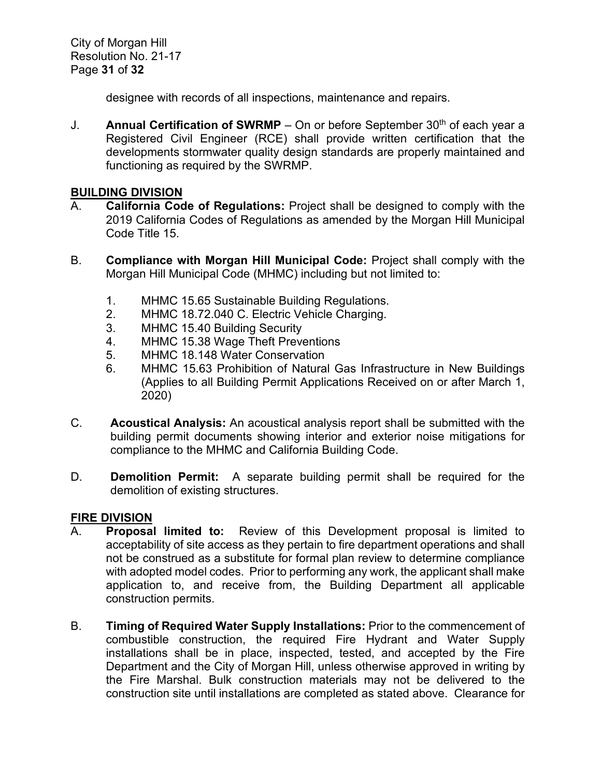City of Morgan Hill Resolution No. 21-17 Page **31** of **32**

designee with records of all inspections, maintenance and repairs.

J. **Annual Certification of SWRMP** – On or before September  $30<sup>th</sup>$  of each year a Registered Civil Engineer (RCE) shall provide written certification that the developments stormwater quality design standards are properly maintained and functioning as required by the SWRMP.

#### **BUILDING DIVISION**

- A. **California Code of Regulations:** Project shall be designed to comply with the 2019 California Codes of Regulations as amended by the Morgan Hill Municipal Code Title 15.
- B. **Compliance with Morgan Hill Municipal Code:** Project shall comply with the Morgan Hill Municipal Code (MHMC) including but not limited to:
	- 1. MHMC 15.65 Sustainable Building Regulations.
	- 2. MHMC 18.72.040 C. Electric Vehicle Charging.
	- 3. MHMC 15.40 Building Security
	- 4. MHMC 15.38 Wage Theft Preventions
	- 5. MHMC 18.148 Water Conservation
	- 6. MHMC 15.63 Prohibition of Natural Gas Infrastructure in New Buildings (Applies to all Building Permit Applications Received on or after March 1, 2020)
- C. **Acoustical Analysis:** An acoustical analysis report shall be submitted with the building permit documents showing interior and exterior noise mitigations for compliance to the MHMC and California Building Code.
- D. **Demolition Permit:** A separate building permit shall be required for the demolition of existing structures.

# **FIRE DIVISION**

- A. **Proposal limited to:** Review of this Development proposal is limited to acceptability of site access as they pertain to fire department operations and shall not be construed as a substitute for formal plan review to determine compliance with adopted model codes. Prior to performing any work, the applicant shall make application to, and receive from, the Building Department all applicable construction permits.
- B. **Timing of Required Water Supply Installations:** Prior to the commencement of combustible construction, the required Fire Hydrant and Water Supply installations shall be in place, inspected, tested, and accepted by the Fire Department and the City of Morgan Hill, unless otherwise approved in writing by the Fire Marshal. Bulk construction materials may not be delivered to the construction site until installations are completed as stated above. Clearance for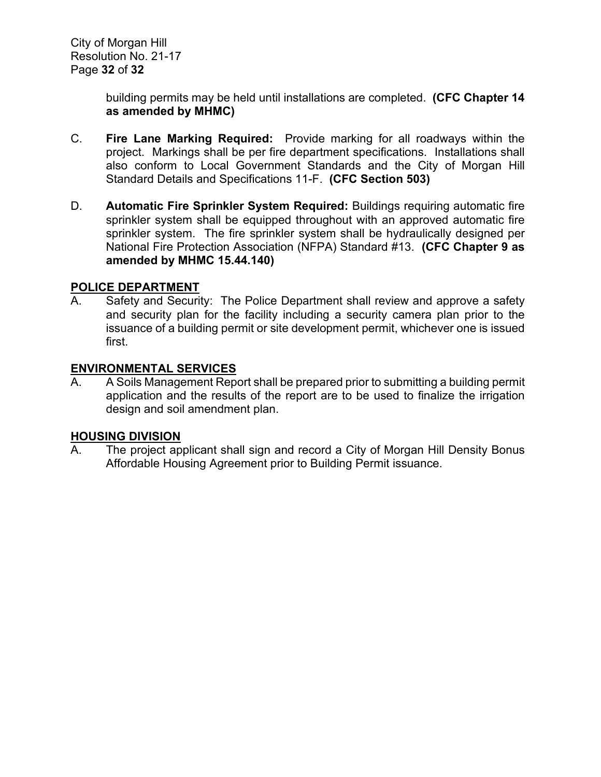building permits may be held until installations are completed. **(CFC Chapter 14 as amended by MHMC)**

- C. **Fire Lane Marking Required:** Provide marking for all roadways within the project. Markings shall be per fire department specifications. Installations shall also conform to Local Government Standards and the City of Morgan Hill Standard Details and Specifications 11-F. **(CFC Section 503)**
- D. **Automatic Fire Sprinkler System Required:** Buildings requiring automatic fire sprinkler system shall be equipped throughout with an approved automatic fire sprinkler system. The fire sprinkler system shall be hydraulically designed per National Fire Protection Association (NFPA) Standard #13. **(CFC Chapter 9 as amended by MHMC 15.44.140)**

# **POLICE DEPARTMENT**

A. Safety and Security: The Police Department shall review and approve a safety and security plan for the facility including a security camera plan prior to the issuance of a building permit or site development permit, whichever one is issued first.

# **ENVIRONMENTAL SERVICES**

A. A Soils Management Report shall be prepared prior to submitting a building permit application and the results of the report are to be used to finalize the irrigation design and soil amendment plan.

#### **HOUSING DIVISION**

A. The project applicant shall sign and record a City of Morgan Hill Density Bonus Affordable Housing Agreement prior to Building Permit issuance.